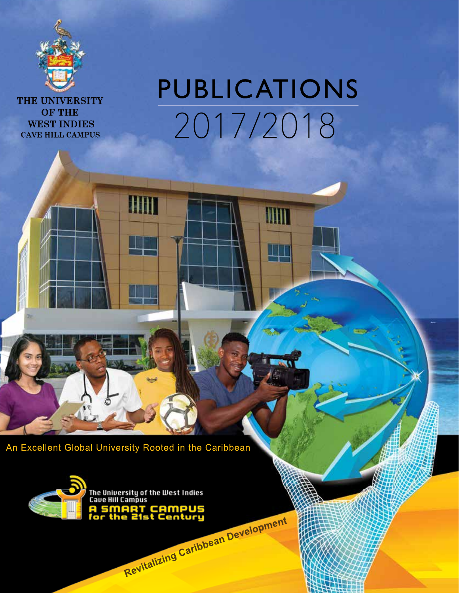

**THE UNIVERSITY OF THE WEST INDIES CAVE HILL CAMPUS** 

# PUBLICATIONS 2017/2018

An Excellent Global University Rooted in the Caribbean

**THIT** 

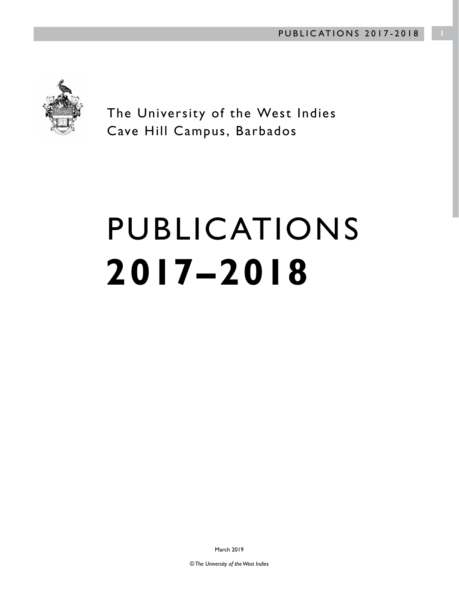

The University of the West Indies Cave Hill Campus, Barbados

# PUBLICATIONS **2017–2018**

March 2019

*© The University of the West Indies*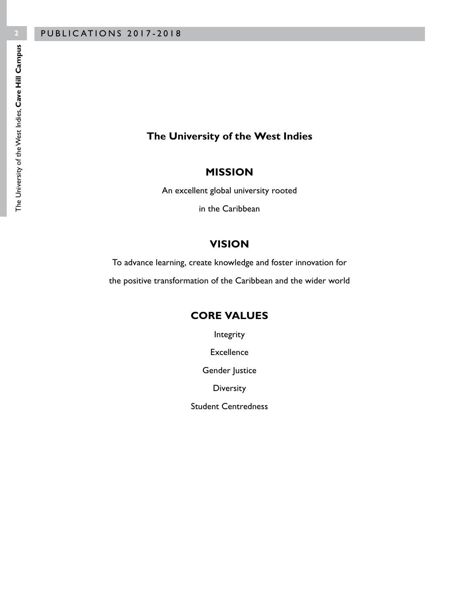# **The University of the West Indies**

# **MISSION**

An excellent global university rooted

in the Caribbean

# **VISION**

To advance learning, create knowledge and foster innovation for the positive transformation of the Caribbean and the wider world

# **CORE VALUES**

Integrity

Excellence

Gender Justice

**Diversity** 

Student Centredness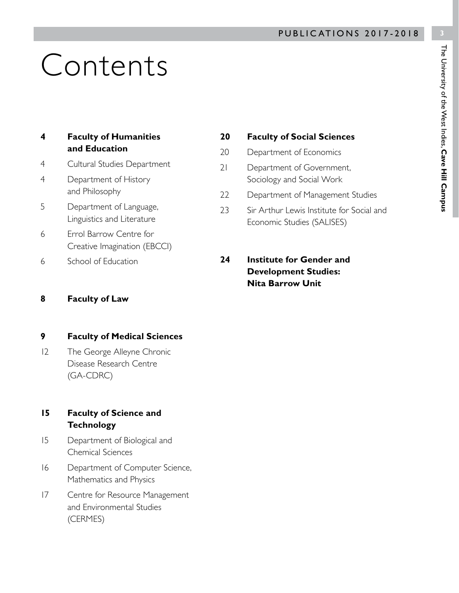# Contents

| 4 | <b>Faculty of Humanities</b> |
|---|------------------------------|
|   | and Education                |

- 4 Cultural Studies Department
- 4 Department of History and Philosophy
- 5 Department of Language, Linguistics and Literature
- 6 Errol Barrow Centre for Creative Imagination (EBCCI)
- 6 School of Education

# **8 Faculty of Law**

# **9 Faculty of Medical Sciences**

12 The George Alleyne Chronic Disease Research Centre (GA-CDRC)

# **15 Faculty of Science and Technology**

- 15 Department of Biological and Chemical Sciences
- 16 Department of Computer Science, Mathematics and Physics
- 17 Centre for Resource Management and Environmental Studies (CERMES)

# **20 Faculty of Social Sciences**

- 20 Department of Economics
- 21 Department of Government, Sociology and Social Work
- 22 Department of Management Studies
- 23 Sir Arthur Lewis Institute for Social and Economic Studies (SALISES)
- **24 Institute for Gender and Development Studies: Nita Barrow Unit**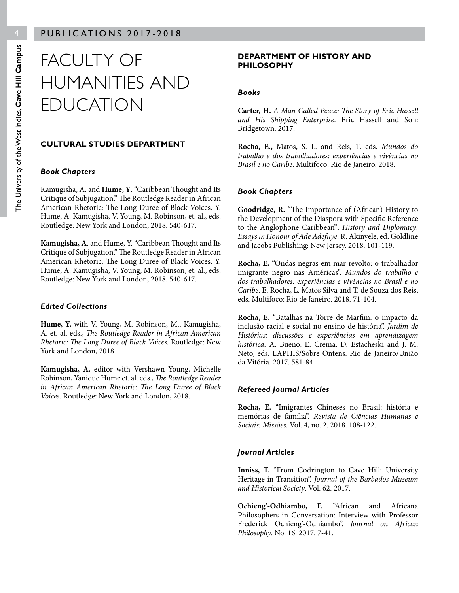# FACULTY OF HUMANITIES AND EDUCATION

# **CULTURAL STUDIES DEPARTMENT**

# *Book Chapters*

Kamugisha, A. and **Hume, Y**. "Caribbean Thought and Its Critique of Subjugation." The Routledge Reader in African American Rhetoric: The Long Duree of Black Voices. Y. Hume, A. Kamugisha, V. Young, M. Robinson, et. al., eds. Routledge: New York and London, 2018. 540-617.

**Kamugisha, A**. and Hume, Y. "Caribbean Thought and Its Critique of Subjugation." The Routledge Reader in African American Rhetoric: The Long Duree of Black Voices. Y. Hume, A. Kamugisha, V. Young, M. Robinson, et. al., eds. Routledge: New York and London, 2018. 540-617.

# *Edited Collections*

**Hume, Y.** with V. Young, M. Robinson, M., Kamugisha, A. et. al. eds., *The Routledge Reader in African American Rhetoric: The Long Duree of Black Voices.* Routledge: New York and London, 2018.

**Kamugisha, A.** editor with Vershawn Young, Michelle Robinson, Yanique Hume et. al. eds., *The Routledge Reader in African American Rhetoric: The Long Duree of Black Voices.* Routledge: New York and London, 2018.

# **DEPARTMENT OF HISTORY AND PHILOSOPHY**

### *Books*

**Carter, H.** *A Man Called Peace: The Story of Eric Hassell and His Shipping Enterprise*. Eric Hassell and Son: Bridgetown. 2017.

**Rocha, E.,** Matos, S. L. and Reis, T. eds. *Mundos do trabalho e dos trabalhadores: experiências e vivências no Brasil e no Caribe*. Multifoco: Rio de Janeiro. 2018.

# *Book Chapters*

**Goodridge, R.** "The Importance of (African) History to the Development of the Diaspora with Specific Reference to the Anglophone Caribbean"**.** *History and Diplomacy: Essays in Honour of Ade Adefuye.* R. Akinyele, ed**.** Goldline and Jacobs Publishing: New Jersey. 2018. 101-119.

**Rocha, E.** "Ondas negras em mar revolto: o trabalhador imigrante negro nas Américas". *Mundos do trabalho e dos trabalhadores: experiências e vivências no Brasil e no Caribe*. E. Rocha, L. Matos Silva and T. de Souza dos Reis, eds. Multifoco: Rio de Janeiro. 2018. 71-104.

**Rocha, E.** "Batalhas na Torre de Marfim: o impacto da inclusão racial e social no ensino de história". *Jardim de Histórias: discussões e experiências em aprendizagem histórica*. A. Bueno, E. Crema, D. Estacheski and J. M. Neto, eds. LAPHIS/Sobre Ontens: Rio de Janeiro/União da Vitória. 2017. 581-84.

# *Refereed Journal Articles*

**Rocha, E.** "Imigrantes Chineses no Brasil: história e memórias de família". *Revista de Ciências Humanas e Sociais: Missões*. Vol. 4, no. 2. 2018. 108-122.

# *Journal Articles*

**Inniss, T.** "From Codrington to Cave Hill: University Heritage in Transition". *Journal of the Barbados Museum and Historical Society*. Vol. 62. 2017.

**Ochieng'-Odhiambo, F.** "African and Africana Philosophers in Conversation: Interview with Professor Frederick Ochieng'-Odhiambo". *Journal on African Philosophy*. No. 16. 2017. 7-41.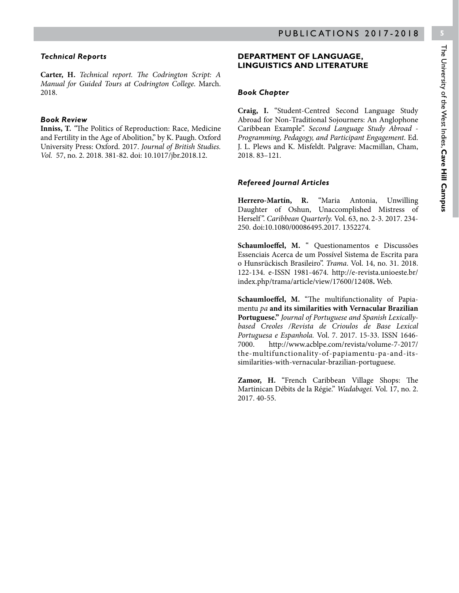# *Technical Reports*

**Carter, H.** *Technical report. The Codrington Script: A Manual for Guided Tours at Codrington College*. March. 2018.

# *Book Review*

**Inniss, T.** *"*The Politics of Reproduction: Race, Medicine and Fertility in the Age of Abolition," by K. Paugh. Oxford University Press: Oxford. 2017. *Journal of British Studies. Vol.* 57, no. 2. 2018. 381-82. doi: 10.1017/jbr.2018.12.

# **DEPARTMENT OF LANGUAGE, LINGUISTICS AND LITERATURE**

# *Book Chapter*

**Craig, I.** "Student-Centred Second Language Study Abroad for Non-Traditional Sojourners: An Anglophone Caribbean Example". *Second Language Study Abroad - Programming, Pedagogy, and Participant Engagement*. Ed. J. L. Plews and K. Misfeldt. Palgrave: Macmillan, Cham, 2018. 83–121.

# *Refereed Journal Articles*

**Herrero-Martín, R.** "Maria Antonia, Unwilling Daughter of Oshun, Unaccomplished Mistress of Herself ". *Caribbean Quarterly.* Vol. 63, no. 2-3. 2017. 234- 250. doi:10.1080/00086495.2017. 1352274.

**Schaumloeffel, M.** " Questionamentos e Discussões Essenciais Acerca de um Possível Sistema de Escrita para o Hunsrückisch Brasileiro". *Trama*. Vol. 14, no. 31. 2018. 122-134. e-ISSN 1981-4674. http://e-revista.unioeste.br/ index.php/trama/article/view/17600/12408**.** Web.

**Schaumloeffel, M.** "The multifunctionality of Papiamentu *pa* **and its similarities with Vernacular Brazilian Portuguese."** *Journal of Portuguese and Spanish Lexicallybased Creoles /Revista de Crioulos de Base Lexical Portuguesa e Espanhola.* Vol. 7. 2017. 15-33. ISSN 1646- 7000. http://www.acblpe.com/revista/volume-7-2017/ the-multifunctionality-of-papiamentu-pa-and-itssimilarities-with-vernacular-brazilian-portuguese.

**Zamor, H.** "French Caribbean Village Shops: The Martinican Débits de la Régie." *Wadabagei.* Vol. 17, no. 2. 2017. 40-55.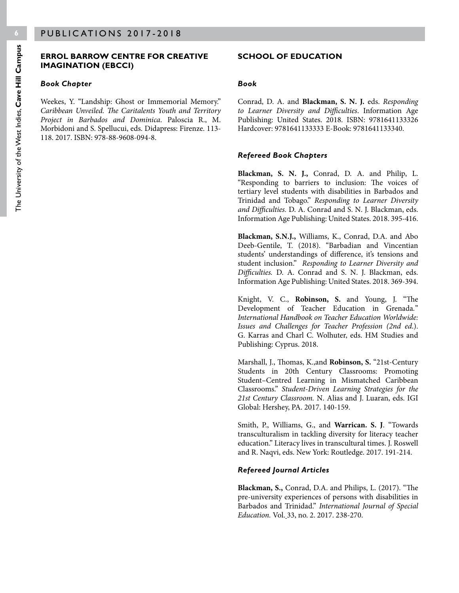# **ERROL BARROW CENTRE FOR CREATIVE IMAGINATION (EBCCI)**

### *Book Chapter*

Weekes, Y. "Landship: Ghost or Immemorial Memory." *Caribbean Unveiled. The Caritalents Youth and Territory Project in Barbados and Dominica*. Paloscia R., M. Morbidoni and S. Spellucui, eds. Didapress: Firenze. 113- 118. 2017. ISBN: 978-88-9608-094-8.

# **SCHOOL OF EDUCATION**

#### *Book*

Conrad, D. A. and **Blackman, S. N. J.** eds. *Responding to Learner Diversity and Difficulties*. Information Age Publishing: United States. 2018. ISBN: 9781641133326 Hardcover: 9781641133333 E-Book: 9781641133340.

#### *Refereed Book Chapters*

**Blackman, S. N. J.,** Conrad, D. A. and Philip, L. "Responding to barriers to inclusion: The voices of tertiary level students with disabilities in Barbados and Trinidad and Tobago." *Responding to Learner Diversity and Difficulties.* D. A. Conrad and S. N. J. Blackman, eds. Information Age Publishing: United States. 2018. 395-416.

**Blackman, S.N.J.,** Williams, K., Conrad, D.A. and Abo Deeb-Gentile, T. (2018). "Barbadian and Vincentian students' understandings of difference, it's tensions and student inclusion." *Responding to Learner Diversity and Difficulties.* D. A. Conrad and S. N. J. Blackman, eds. Information Age Publishing: United States. 2018. 369-394.

Knight, V. C., **Robinson, S.** and Young, J. "The Development of Teacher Education in Grenada*.*" *International Handbook on Teacher Education Worldwide: Issues and Challenges for Teacher Profession (2nd ed*.). G. Karras and Charl C. Wolhuter, eds. HM Studies and Publishing: Cyprus. 2018.

Marshall, J., Thomas, K.,and **Robinson, S.** "21st-Century Students in 20th Century Classrooms: Promoting Student–Centred Learning in Mismatched Caribbean Classrooms." *Student-Driven Learning Strategies for the 21st Century Classroom.* N. Alias and J. Luaran, eds. IGI Global: Hershey, PA. 2017. 140-159.

Smith, P., Williams, G., and **Warrican. S. J**. "Towards transculturalism in tackling diversity for literacy teacher education." Literacy lives in transcultural times. J. Roswell and R. Naqvi, eds. New York: Routledge. 2017. 191-214.

# *Refereed Journal Articles*

**Blackman, S.,** Conrad, D.A. and Philips, L. (2017). "The pre-university experiences of persons with disabilities in Barbados and Trinidad." *International Journal of Special Education.* Vol. 33, no. 2. 2017. 238-270.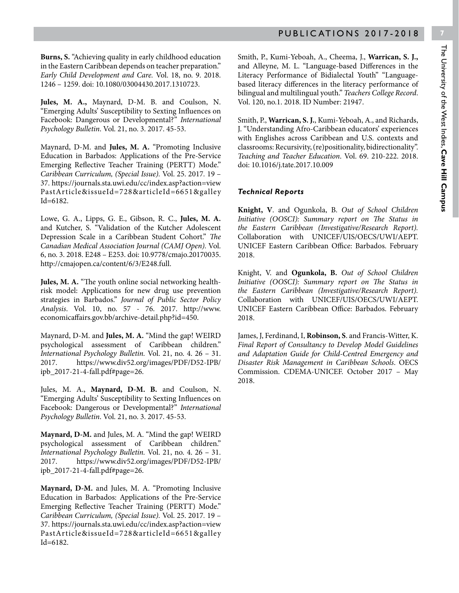The University of the West Indies, Cave Hill Campus The University of the West Indies, **Cave Hill Campus**

**Burns, S.** "Achieving quality in early childhood education in the Eastern Caribbean depends on teacher preparation." *Early Child Development and Care.* Vol. 18, no. 9. 2018. 1246 – 1259. doi: 10.1080/03004430.2017.1310723.

**Jules, M. A.,** Maynard, D-M. B. and Coulson, N. "Emerging Adults' Susceptibility to Sexting Influences on Facebook: Dangerous or Developmental?" *International Psychology Bulletin*. Vol. 21, no. 3. 2017. 45-53.

Maynard, D-M. and **Jules, M. A.** "Promoting Inclusive Education in Barbados: Applications of the Pre-Service Emerging Reflective Teacher Training (PERTT) Mode." *Caribbean Curriculum, (Special Issue).* Vol. 25. 2017*.* 19 – 37. https://journals.sta.uwi.edu/cc/index.asp?action=view PastArticle&issueId=728&articleId=6651&galley Id=6182.

Lowe, G. A., Lipps, G. E., Gibson, R. C., **Jules, M. A.** and Kutcher, S. "Validation of the Kutcher Adolescent Depression Scale in a Caribbean Student Cohort." *The Canadian Medical Association Journal (CAMJ Open).* Vol. 6, no. 3. 2018. E248 – E253. doi: 10.9778/cmajo.20170035. http://cmajopen.ca/content/6/3/E248.full.

**Jules, M. A.** "The youth online social networking healthrisk model: Applications for new drug use prevention strategies in Barbados." *Journal of Public Sector Policy Analysis*. Vol. 10, no. 57 - 76. 2017. http://www. economicaffairs.gov.bb/archive-detail.php?id=450.

Maynard, D-M. and **Jules, M. A.** "Mind the gap! WEIRD psychological assessment of Caribbean children." *International Psychology Bulletin.* Vol. 21, no. 4. 26 – 31. 2017. https://www.div52.org/images/PDF/D52-IPB/ ipb\_2017-21-4-fall.pdf#page=26.

Jules, M. A., **Maynard, D-M. B.** and Coulson, N. "Emerging Adults' Susceptibility to Sexting Influences on Facebook: Dangerous or Developmental?" *International Psychology Bulletin*. Vol. 21, no. 3. 2017. 45-53.

**Maynard, D-M.** and Jules, M. A. "Mind the gap! WEIRD psychological assessment of Caribbean children." *International Psychology Bulletin.* Vol. 21, no. 4. 26 – 31. 2017. https://www.div52.org/images/PDF/D52-IPB/ ipb\_2017-21-4-fall.pdf#page=26.

**Maynard, D-M.** and Jules, M. A. "Promoting Inclusive Education in Barbados: Applications of the Pre-Service Emerging Reflective Teacher Training (PERTT) Mode." *Caribbean Curriculum, (Special Issue).* Vol. 25. 2017*.* 19 – 37. https://journals.sta.uwi.edu/cc/index.asp?action=view PastArticle&issueId=728&articleId=6651&galley Id=6182.

Smith, P., Kumi-Yeboah, A., Cheema, J., **Warrican, S. J.,** and Alleyne, M. L. "Language-based Differences in the Literacy Performance of Bidialectal Youth" "Languagebased literacy differences in the literacy performance of bilingual and multilingual youth." *Teachers College Record*. Vol. 120, no.1. 2018. ID Number: 21947.

Smith, P., **Warrican, S. J.**, Kumi-Yeboah, A., and Richards, J. "Understanding Afro-Caribbean educators' experiences with Englishes across Caribbean and U.S. contexts and classrooms: Recursivity, (re)positionality, bidirectionality". *Teaching and Teacher Education*. Vol. 69. 210-222. 2018. doi: 10.1016/j.tate.2017.10.009

# *Technical Reports*

**Knight, V**. and Ogunkola, B. *Out of School Children Initiative (OOSCI): Summary report on The Status in the Eastern Caribbean (Investigative/Research Report).* Collaboration with UNICEF/UIS/OECS/UWI/AEPT. UNICEF Eastern Caribbean Office: Barbados. February 2018.

Knight, V. and **Ogunkola, B.** *Out of School Children Initiative (OOSCI): Summary report on The Status in the Eastern Caribbean (Investigative/Research Report).* Collaboration with UNICEF/UIS/OECS/UWI/AEPT. UNICEF Eastern Caribbean Office: Barbados. February 2018.

James, J, Ferdinand, I, **Robinson, S**. and Francis-Witter, K. *Final Report of Consultancy to Develop Model Guidelines and Adaptation Guide for Child-Centred Emergency and Disaster Risk Management in Caribbean Schools*. OECS Commission. CDEMA-UNICEF. October 2017 – May 2018.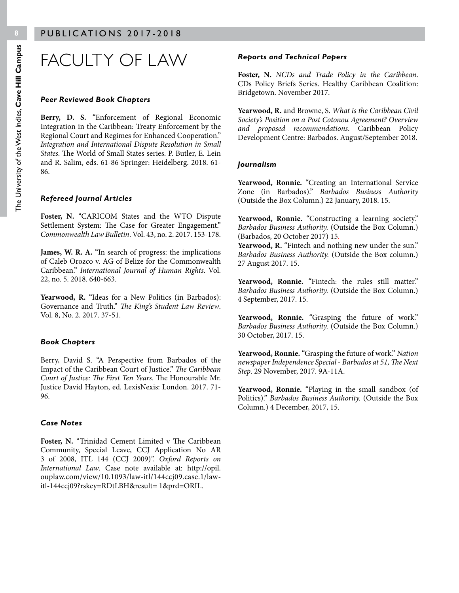# FACULTY OF LAW

### *Peer Reviewed Book Chapters*

**Berry, D. S.** "Enforcement of Regional Economic Integration in the Caribbean: Treaty Enforcement by the Regional Court and Regimes for Enhanced Cooperation." *Integration and International Dispute Resolution in Small States*. The World of Small States series. P. Butler, E. Lein and R. Salim, eds. 61-86 Springer: Heidelberg. 2018. 61- 86.

# *Refereed Journal Articles*

**Foster, N.** "CARICOM States and the WTO Dispute Settlement System: The Case for Greater Engagement." *Commonwealth Law Bulletin*. Vol. 43, no. 2. 2017. 153-178.

**James, W. R. A.** "In search of progress: the implications of Caleb Orozco v. AG of Belize for the Commonwealth Caribbean." *International Journal of Human Rights*. Vol. 22, no. 5. 2018. 640-663.

Yearwood, R. "Ideas for a New Politics (in Barbados): Governance and Truth." *The King's Student Law Review*. Vol. 8, No. 2. 2017. 37-51.

# *Book Chapters*

Berry, David S. "A Perspective from Barbados of the Impact of the Caribbean Court of Justice." *The Caribbean Court of Justice: The First Ten Years*. The Honourable Mr. Justice David Hayton, ed. LexisNexis: London. 2017. 71- 96.

#### *Case Notes*

**Foster, N.** "Trinidad Cement Limited v The Caribbean Community, Special Leave, CCJ Application No AR 3 of 2008, ITL 144 (CCJ 2009)". *Oxford Reports on International Law*. Case note available at: http://opil. ouplaw.com/view/10.1093/law-itl/144ccj09.case.1/lawitl-144ccj09?rskey=RDtLBH&result= 1&prd=ORIL.

## *Reports and Technical Papers*

**Foster, N.** *NCDs and Trade Policy in the Caribbean*. CDs Policy Briefs Series. Healthy Caribbean Coalition: Bridgetown. November 2017.

**Yearwood, R.** and Browne, S. *What is the Caribbean Civil Society's Position on a Post Cotonou Agreement? Overview and proposed recommendations*. Caribbean Policy Development Centre: Barbados. August/September 2018.

#### *Journalism*

**Yearwood, Ronnie.** "Creating an International Service Zone (in Barbados)." *Barbados Business Authority* (Outside the Box Column.) 22 January, 2018. 15.

Yearwood, Ronnie. "Constructing a learning society." *Barbados Business Authority.* (Outside the Box Column.) (Barbados, 20 October 2017) 15.

Yearwood, R. "Fintech and nothing new under the sun." *Barbados Business Authority.* (Outside the Box column.) 27 August 2017. 15.

Yearwood, Ronnie. "Fintech: the rules still matter." *Barbados Business Authority.* (Outside the Box Column.) 4 September, 2017. 15.

Yearwood, Ronnie. "Grasping the future of work." *Barbados Business Authority.* (Outside the Box Column.) 30 October, 2017. 15.

**Yearwood, Ronnie.** "Grasping the future of work." *Nation newspaper Independence Special* - *Barbados at 51, The Next Step*. 29 November, 2017. 9A-11A.

**Yearwood, Ronnie.** "Playing in the small sandbox (of Politics)." *Barbados Business Authority.* (Outside the Box Column.) 4 December, 2017, 15.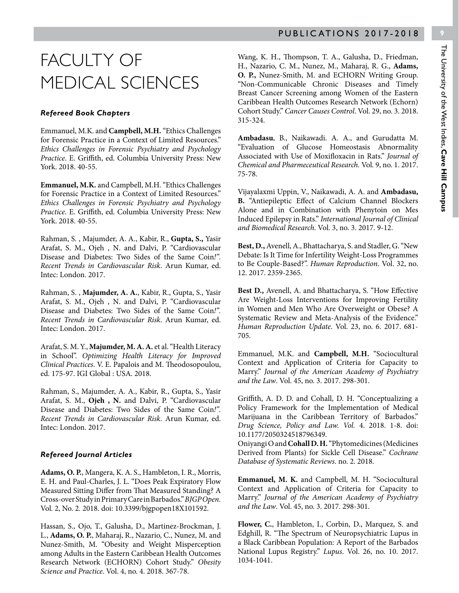# FACULTY OF MEDICAL SCIENCES

# *Refereed Book Chapters*

Emmanuel, M.K. and **Campbell, M.H.** "Ethics Challenges for Forensic Practice in a Context of Limited Resources." *Ethics Challenges in Forensic Psychiatry and Psychology Practice*. E. Griffith, ed. Columbia University Press: New York. 2018. 40-55.

**Emmanuel, M.K.** and Campbell, M.H. "Ethics Challenges for Forensic Practice in a Context of Limited Resources." *Ethics Challenges in Forensic Psychiatry and Psychology Practice*. E. Griffith, ed. Columbia University Press: New York. 2018. 40-55.

Rahman, S. , Majumder, A. A., Kabir, R., **Gupta, S.,** Yasir Arafat, S. M., Ojeh , N. and Dalvi, P. "Cardiovascular Disease and Diabetes: Two Sides of the Same Coin*!". Recent Trends in Cardiovascular Risk*. Arun Kumar, ed. Intec: London. 2017.

Rahman, S. , **Majumder, A. A.**, Kabir, R., Gupta, S., Yasir Arafat, S. M., Ojeh , N. and Dalvi, P. "Cardiovascular Disease and Diabetes: Two Sides of the Same Coin*!". Recent Trends in Cardiovascular Risk*. Arun Kumar, ed. Intec: London. 2017.

Arafat, S. M. Y., **Majumder, M. A. A.** et al. "Health Literacy in School". *Optimizing Health Literacy for Improved Clinical Practices*. V. E. Papalois and M. Theodosopoulou, ed. 175-97. IGI Global : USA. 2018.

Rahman, S., Majumder, A. A., Kabir, R., Gupta, S., Yasir Arafat, S. M., **Ojeh , N.** and Dalvi, P. "Cardiovascular Disease and Diabetes: Two Sides of the Same Coin*!". Recent Trends in Cardiovascular Risk*. Arun Kumar, ed. Intec: London. 2017.

# *Refereed Journal Articles*

**Adams, O. P.**, Mangera, K. A. S., Hambleton, I. R., Morris, E. H. and Paul-Charles, J. L. "Does Peak Expiratory Flow Measured Sitting Differ from That Measured Standing? A Cross-over Study in Primary Care in Barbados." *BJGP Open.*  Vol. 2, No. 2*.* 2018. doi: 10.3399/bjgpopen18X101592.

Hassan, S., Ojo, T., Galusha, D., Martinez-Brockman, J. L., **Adams, O. P.**, Maharaj, R., Nazario, C., Nunez, M. and Nunez-Smith, M. "Obesity and Weight Misperception among Adults in the Eastern Caribbean Health Outcomes Research Network (ECHORN) Cohort Study." *Obesity Science and Practice*. Vol. 4, no. 4. 2018. 367-78.

Wang, K. H., Thompson, T. A., Galusha, D., Friedman, H., Nazario, C. M., Nunez, M., Maharaj, R. G., **Adams, O. P.,** Nunez-Smith, M. and ECHORN Writing Group. "Non-Communicable Chronic Diseases and Timely Breast Cancer Screening among Women of the Eastern Caribbean Health Outcomes Research Network (Echorn) Cohort Study." *Cancer Causes Control*. Vol. 29, no. 3. 2018. 315-324.

**Ambadasu**, B., Naikawadi. A. A., and Gurudatta M. "Evaluation of Glucose Homeostasis Abnormality Associated with Use of Moxifloxacin in Rats." *Journal of Chemical and Pharmeceutical Research.* Vol. 9, no. 1. 2017. 75-78.

Vijayalaxmi Uppin, V., Naikawadi, A. A. and **Ambadasu, B.** "Antiepileptic Effect of Calcium Channel Blockers Alone and in Combination with Phenytoin on Mes Induced Epilepsy in Rats." *International Journal of Clinical and Biomedical Research*. Vol. 3, no. 3. 2017. 9-12.

**Best, D.,** Avenell, A., Bhattacharya, S. and Stadler, G. "New Debate: Is It Time for Infertility Weight-Loss Programmes to Be Couple-Based?". *Human Reproduction*. Vol. 32, no. 12. 2017. 2359-2365.

**Best D.,** Avenell, A. and Bhattacharya, S. "How Effective Are Weight-Loss Interventions for Improving Fertility in Women and Men Who Are Overweight or Obese? A Systematic Review and Meta-Analysis of the Evidence." *Human Reproduction Update*. Vol. 23, no. 6. 2017. 681- 705.

Emmanuel, M.K. and **Campbell, M.H.** "Sociocultural Context and Application of Criteria for Capacity to Marry." *Journal of the American Academy of Psychiatry and the Law*. Vol. 45, no. 3. 2017. 298-301.

Griffith, A. D. D. and Cohall, D. H. "Conceptualizing a Policy Framework for the Implementation of Medical Marijuana in the Caribbean Territory of Barbados." *Drug Science, Policy and Law. Vol.* 4. 2018. 1-8. doi: 10.1177/2050324518796349.

Oniyangi O and **Cohall D. H.** "Phytomedicines (Medicines Derived from Plants) for Sickle Cell Disease." *Cochrane Database of Systematic Reviews*. no. 2. 2018.

**Emmanuel, M. K.** and Campbell, M. H. "Sociocultural Context and Application of Criteria for Capacity to Marry." *Journal of the American Academy of Psychiatry and the Law*. Vol. 45, no. 3. 2017. 298-301.

**Flower, C.**, Hambleton, I., Corbin, D., Marquez, S. and Edghill, R. "The Spectrum of Neuropsychiatric Lupus in a Black Caribbean Population: A Report of the Barbados National Lupus Registry." *Lupus*. Vol. 26, no. 10. 2017. 1034-1041.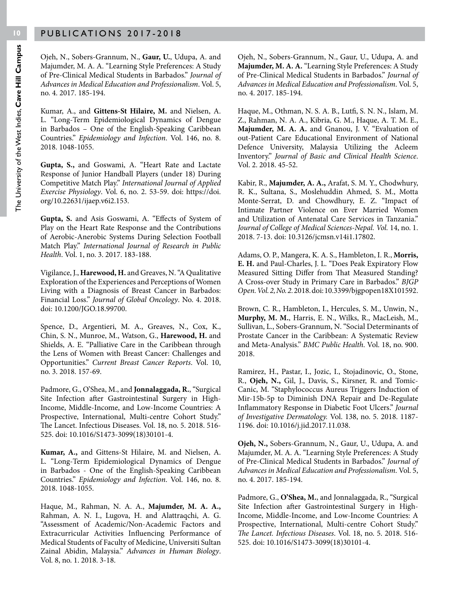Ojeh, N., Sobers-Grannum, N., **Gaur, U.**, Udupa, A. and Majumder, M. A. A. "Learning Style Preferences: A Study of Pre-Clinical Medical Students in Barbados." *Journal of Advances in Medical Education and Professionalism*. Vol. 5, no. 4. 2017. 185-194.

Kumar, A., and **Gittens-St Hilaire, M.** and Nielsen, A. L. "Long-Term Epidemiological Dynamics of Dengue in Barbados – One of the English-Speaking Caribbean Countries." *Epidemiology and Infection*. Vol. 146, no. 8. 2018. 1048-1055.

**Gupta, S.,** and Goswami, A. "Heart Rate and Lactate Response of Junior Handball Players (under 18) During Competitive Match Play." *International Journal of Applied Exercise Physiology*. Vol. 6, no. 2. 53-59. doi: https://doi. org/10.22631/ijaep.v6i2.153.

**Gupta, S.** and Asis Goswami, A. "Effects of System of Play on the Heart Rate Response and the Contributions of Aerobic-Anerobic Systems During Selection Football Match Play." *International Journal of Research in Public Health*. Vol. 1, no. 3. 2017. 183-188.

Vigilance, J., **Harewood, H.** and Greaves, N. "A Qualitative Exploration of the Experiences and Perceptions of Women Living with a Diagnosis of Breast Cancer in Barbados: Financial Loss." *Journal of Global Oncology*. No. 4. 2018. doi: 10.1200/JGO.18.99700.

Spence, D., Argentieri, M. A., Greaves, N., Cox, K., Chin, S. N., Munroe, M., Watson, G., **Harewood, H.** and Shields, A. E. "Palliative Care in the Caribbean through the Lens of Women with Breast Cancer: Challenges and Opportunities." *Current Breast Cancer Reports*. Vol. 10, no. 3. 2018. 157-69.

Padmore, G., O'Shea, M., and **Jonnalaggada, R.**, "Surgical Site Infection after Gastrointestinal Surgery in High-Income, Middle-Income, and Low-Income Countries: A Prospective, International, Multi-centre Cohort Study." The Lancet. Infectious Diseases. Vol. 18, no. 5. 2018. 516- 525. doi: 10.1016/S1473-3099(18)30101-4.

**Kumar, A.,** and Gittens-St Hilaire, M. and Nielsen, A. L. "Long-Term Epidemiological Dynamics of Dengue in Barbados - One of the English-Speaking Caribbean Countries." *Epidemiology and Infection*. Vol. 146, no. 8. 2018. 1048-1055.

Haque, M., Rahman, N. A. A., **Majumder, M. A. A.,** Rahman, A. N. I., Lugova, H. and Alattraqchi, A. G. "Assessment of Academic/Non-Academic Factors and Extracurricular Activities Influencing Performance of Medical Students of Faculty of Medicine, Universiti Sultan Zainal Abidin, Malaysia." *Advances in Human Biology*. Vol. 8, no. 1. 2018. 3-18.

Ojeh, N., Sobers-Grannum, N., Gaur, U., Udupa, A. and **Majumder, M. A. A.** "Learning Style Preferences: A Study of Pre-Clinical Medical Students in Barbados." *Journal of Advances in Medical Education and Professionalism*. Vol. 5, no. 4. 2017. 185-194.

Haque, M., Othman, N. S. A. B., Lutfi, S. N. N., Islam, M. Z., Rahman, N. A. A., Kibria, G. M., Haque, A. T. M. E., **Majumder, M. A. A.** and Gnanou, J. V. "Evaluation of out-Patient Care Educational Environment of National Defence University, Malaysia Utilizing the Acleem Inventory." *Journal of Basic and Clinical Health Science*. Vol. 2. 2018. 45-52.

Kabir, R., **Majumder, A. A.,** Arafat, S. M. Y., Chodwhury, R. K., Sultana, S., Moslehuddin Ahmed, S. M., Motta Monte-Serrat, D. and Chowdhury, E. Z. "Impact of Intimate Partner Violence on Ever Married Women and Utilization of Antenatal Care Services in Tanzania." *Journal of College of Medical Sciences-Nepal. Vol.* 14, no. 1. 2018. 7-13. doi: 10.3126/jcmsn.v14i1.17802.

Adams, O. P., Mangera, K. A. S., Hambleton, I. R., **Morris, E. H.** and Paul-Charles, J. L. "Does Peak Expiratory Flow Measured Sitting Differ from That Measured Standing? A Cross-over Study in Primary Care in Barbados." *BJGP Open. Vol. 2, No. 2.* 2018. doi: 10.3399/bjgpopen18X101592.

Brown, C. R., Hambleton, I., Hercules, S. M., Unwin, N., **Murphy, M. M.**, Harris, E. N., Wilks, R., MacLeish, M., Sullivan, L., Sobers-Grannum, N. "Social Determinants of Prostate Cancer in the Caribbean: A Systematic Review and Meta-Analysis." *BMC Public Health*. Vol. 18, no. 900. 2018.

Ramirez, H., Pastar, I., Jozic, I., Stojadinovic, O., Stone, R., **Ojeh, N.,** Gil, J., Davis, S., Kirsner, R. and Tomic-Canic, M. "Staphylococcus Aureus Triggers Induction of Mir-15b-5p to Diminish DNA Repair and De-Regulate Inflammatory Response in Diabetic Foot Ulcers." *Journal of Investigative Dermatology.* Vol. 138, no. 5. 2018. 1187- 1196. doi: 10.1016/j.jid.2017.11.038.

**Ojeh, N.,** Sobers-Grannum, N., Gaur, U., Udupa, A. and Majumder, M. A. A. "Learning Style Preferences: A Study of Pre-Clinical Medical Students in Barbados." *Journal of Advances in Medical Education and Professionalism*. Vol. 5, no. 4. 2017. 185-194.

Padmore, G., **O'Shea, M.**, and Jonnalaggada, R., "Surgical Site Infection after Gastrointestinal Surgery in High-Income, Middle-Income, and Low-Income Countries: A Prospective, International, Multi-centre Cohort Study." *The Lancet. Infectious Diseases*. Vol. 18, no. 5. 2018. 516- 525. doi: 10.1016/S1473-3099(18)30101-4.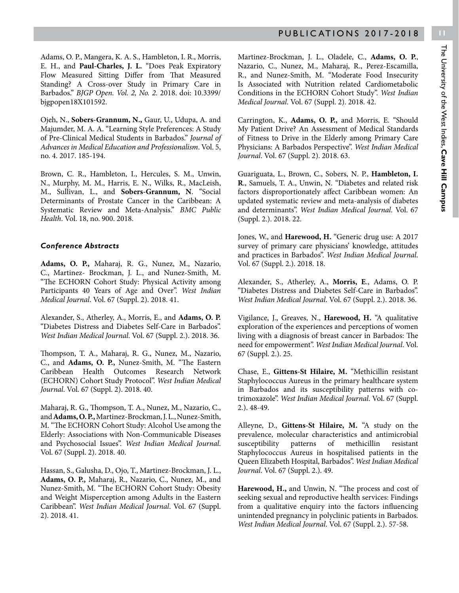Adams, O. P., Mangera, K. A. S., Hambleton, I. R., Morris, E. H., and **Paul-Charles, J. L.** "Does Peak Expiratory Flow Measured Sitting Differ from That Measured Standing? A Cross-over Study in Primary Care in Barbados." *BJGP Open. Vol. 2, No. 2.* 2018. doi: 10.3399/ bjgpopen18X101592.

Ojeh, N., **Sobers-Grannum, N.,** Gaur, U., Udupa, A. and Majumder, M. A. A. "Learning Style Preferences: A Study of Pre-Clinical Medical Students in Barbados." *Journal of Advances in Medical Education and Professionalism*. Vol. 5, no. 4. 2017. 185-194.

Brown, C. R., Hambleton, I., Hercules, S. M., Unwin, N., Murphy, M. M., Harris, E. N., Wilks, R., MacLeish, M., Sullivan, L., and **Sobers-Grannum, N**. "Social Determinants of Prostate Cancer in the Caribbean: A Systematic Review and Meta-Analysis." *BMC Public Health*. Vol. 18, no. 900. 2018.

# *Conference Abstracts*

**Adams, O. P.,** Maharaj, R. G., Nunez, M., Nazario, C., Martinez- Brockman, J. L., and Nunez-Smith, M. "The ECHORN Cohort Study: Physical Activity among Participants 40 Years of Age and Over". *West Indian Medical Journal*. Vol. 67 (Suppl. 2). 2018. 41.

Alexander, S., Atherley, A., Morris, E., and **Adams, O. P.** "Diabetes Distress and Diabetes Self-Care in Barbados". *West Indian Medical Journal*. Vol. 67 (Suppl. 2.). 2018. 36.

Thompson, T. A., Maharaj, R. G., Nunez, M., Nazario, C., and **Adams, O. P.,** Nunez-Smith, M. "The Eastern Caribbean Health Outcomes Research Network (ECHORN) Cohort Study Protocol". *West Indian Medical Journal*. Vol. 67 (Suppl. 2). 2018. 40.

Maharaj, R. G., Thompson, T. A., Nunez, M., Nazario, C., and **Adams, O. P.,** Martinez-Brockman, J. L., Nunez-Smith, M. "The ECHORN Cohort Study: Alcohol Use among the Elderly: Associations with Non-Communicable Diseases and Psychosocial Issues". *West Indian Medical Journal*. Vol. 67 (Suppl. 2). 2018. 40.

Hassan, S., Galusha, D., Ojo, T., Martinez-Brockman, J. L., **Adams, O. P.,** Maharaj, R., Nazario, C., Nunez, M., and Nunez-Smith, M. "The ECHORN Cohort Study: Obesity and Weight Misperception among Adults in the Eastern Caribbean". *West Indian Medical Journal*. Vol. 67 (Suppl. 2). 2018. 41.

Martinez-Brockman, J. L., Oladele, C., **Adams, O. P.**, Nazario, C., Nunez, M., Maharaj, R., Perez-Escamilla, R., and Nunez-Smith, M. "Moderate Food Insecurity Is Associated with Nutrition related Cardiometabolic Conditions in the ECHORN Cohort Study". *West Indian Medical Journal*. Vol. 67 (Suppl. 2). 2018. 42.

Carrington, K., **Adams, O. P.,** and Morris, E. "Should My Patient Drive? An Assessment of Medical Standards of Fitness to Drive in the Elderly among Primary Care Physicians: A Barbados Perspective". *West Indian Medical Journal*. Vol. 67 (Suppl. 2). 2018. 63.

Guariguata, L., Brown, C., Sobers, N. P., **Hambleton, I. R**., Samuels, T. A., Unwin, N. "Diabetes and related risk factors disproportionately affect Caribbean women: An updated systematic review and meta-analysis of diabetes and determinants". *West Indian Medical Journal*. Vol. 67 (Suppl. 2.). 2018. 22.

Jones, W., and **Harewood, H.** "Generic drug use: A 2017 survey of primary care physicians' knowledge, attitudes and practices in Barbados". *West Indian Medical Journal*. Vol. 67 (Suppl. 2.). 2018. 18.

Alexander, S., Atherley, A., **Morris, E**., Adams, O. P. "Diabetes Distress and Diabetes Self-Care in Barbados". *West Indian Medical Journal*. Vol. 67 (Suppl. 2.). 2018. 36.

Vigilance, J., Greaves, N., **Harewood, H.** "A qualitative exploration of the experiences and perceptions of women living with a diagnosis of breast cancer in Barbados: The need for empowerment". *West Indian Medical Journal*. Vol. 67 (Suppl. 2.). 25.

Chase, E., **Gittens-St Hilaire, M.** "Methicillin resistant Staphylococcus Aureus in the primary healthcare system in Barbados and its susceptibility patterns with cotrimoxazole". *West Indian Medical Journal*. Vol. 67 (Suppl. 2.). 48-49.

Alleyne, D., **Gittens-St Hilaire, M.** "A study on the prevalence, molecular characteristics and antimicrobial susceptibility patterns of methicillin resistant Staphylococcus Aureus in hospitalised patients in the Queen Elizabeth Hospital, Barbados". *West Indian Medical Journal*. Vol. 67 (Suppl. 2.). 49.

**Harewood, H.,** and Unwin, N. "The process and cost of seeking sexual and reproductive health services: Findings from a qualitative enquiry into the factors influencing unintended pregnancy in polyclinic patients in Barbados. *West Indian Medical Journal*. Vol. 67 (Suppl. 2.). 57-58.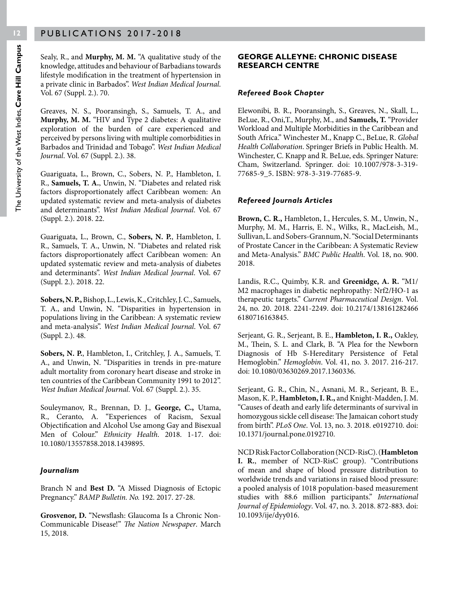Sealy, R., and **Murphy, M. M.** "A qualitative study of the knowledge, attitudes and behaviour of Barbadians towards lifestyle modification in the treatment of hypertension in a private clinic in Barbados". *West Indian Medical Journal*. Vol. 67 (Suppl. 2.). 70.

Greaves, N. S., Pooransingh, S., Samuels, T. A., and **Murphy, M. M.** "HIV and Type 2 diabetes: A qualitative exploration of the burden of care experienced and perceived by persons living with multiple comorbidities in Barbados and Trinidad and Tobago". *West Indian Medical Journal*. Vol. 67 (Suppl. 2.). 38.

Guariguata, L., Brown, C., Sobers, N. P., Hambleton, I. R., **Samuels, T. A.**, Unwin, N. "Diabetes and related risk factors disproportionately affect Caribbean women: An updated systematic review and meta-analysis of diabetes and determinants". *West Indian Medical Journal*. Vol. 67 (Suppl. 2.). 2018. 22.

Guariguata, L., Brown, C., **Sobers, N. P.**, Hambleton, I. R., Samuels, T. A., Unwin, N. "Diabetes and related risk factors disproportionately affect Caribbean women: An updated systematic review and meta-analysis of diabetes and determinants". *West Indian Medical Journal*. Vol. 67 (Suppl. 2.). 2018. 22.

**Sobers, N. P.,** Bishop, L., Lewis, K., Critchley, J. C., Samuels, T. A., and Unwin, N. "Disparities in hypertension in populations living in the Caribbean: A systematic review and meta-analysis". *West Indian Medical Journal*. Vol. 67 (Suppl. 2.). 48.

**Sobers, N. P.**, Hambleton, I., Critchley, J. A., Samuels, T. A., and Unwin, N. "Disparities in trends in pre-mature adult mortality from coronary heart disease and stroke in ten countries of the Caribbean Community 1991 to 2012". *West Indian Medical Journal*. Vol. 67 (Suppl. 2.). 35.

Souleymanov, R., Brennan, D. J., **George, C.,** Utama, R., Ceranto, A. "Experiences of Racism, Sexual Objectification and Alcohol Use among Gay and Bisexual Men of Colour." *Ethnicity Health*. 2018. 1-17. doi: 10.1080/13557858.2018.1439895.

#### *Journalism*

Branch N and **Best D.** "A Missed Diagnosis of Ectopic Pregnancy." *BAMP Bulletin. No.* 192. 2017. 27-28.

**Grosvenor, D.** "Newsflash: Glaucoma Is a Chronic Non-Communicable Disease!" *The Nation Newspaper*. March 15, 2018.

# **GEORGE ALLEYNE: CHRONIC DISEASE RESEARCH CENTRE**

#### *Refereed Book Chapter*

Elewonibi, B. R., Pooransingh, S., Greaves, N., Skall, L., BeLue, R., Oni,T., Murphy, M., and **Samuels, T.** "Provider Workload and Multiple Morbidities in the Caribbean and South Africa." Winchester M., Knapp C., BeLue, R. *Global Health Collaboration*. Springer Briefs in Public Health. M. Winchester, C. Knapp and R. BeLue, eds. Springer Nature: Cham, Switzerland. Springer. doi: 10.1007/978-3-319- 77685-9\_5. ISBN: 978-3-319-77685-9.

#### *Refereed Journals Articles*

**Brown, C. R.,** Hambleton, I., Hercules, S. M., Unwin, N., Murphy, M. M., Harris, E. N., Wilks, R., MacLeish, M., Sullivan, L. and Sobers-Grannum, N. "Social Determinants of Prostate Cancer in the Caribbean: A Systematic Review and Meta-Analysis." *BMC Public Health*. Vol. 18, no. 900. 2018.

Landis, R.C., Quimby, K.R. and **Greenidge, A. R.** "M1/ M2 macrophages in diabetic nephropathy: Nrf2/HO-1 as therapeutic targets." *Current Pharmaceutical Design*. Vol. 24, no. 20. 2018. 2241-2249. doi: 10.2174/138161282466 6180716163845.

Serjeant, G. R., Serjeant, B. E., **Hambleton, I. R.,** Oakley, M., Thein, S. L. and Clark, B. "A Plea for the Newborn Diagnosis of Hb S-Hereditary Persistence of Fetal Hemoglobin." *Hemoglobin*. Vol. 41, no. 3. 2017. 216-217. doi: 10.1080/03630269.2017.1360336.

Serjeant, G. R., Chin, N., Asnani, M. R., Serjeant, B. E., Mason, K. P., **Hambleton, I. R.,** and Knight-Madden, J. M. "Causes of death and early life determinants of survival in homozygous sickle cell disease: The Jamaican cohort study from birth". *PLoS One*. Vol. 13, no. 3. 2018. e0192710. doi: 10.1371/journal.pone.0192710.

NCD Risk Factor Collaboration (NCD-RisC). (**Hambleton I. R.**, member of NCD-RisC group). "Contributions of mean and shape of blood pressure distribution to worldwide trends and variations in raised blood pressure: a pooled analysis of 1018 population-based measurement studies with 88.6 million participants." *International Journal of Epidemiology*. Vol. 47, no. 3. 2018. 872-883. doi: 10.1093/ije/dyy016.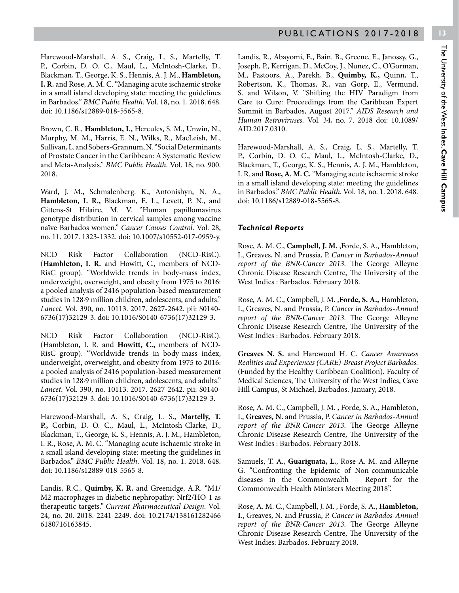Harewood-Marshall, A. S., Craig, L. S., Martelly, T. P., Corbin, D. O. C., Maul, L., McIntosh-Clarke, D., Blackman, T., George, K. S., Hennis, A. J. M., **Hambleton, I. R.** and Rose, A. M. C. "Managing acute ischaemic stroke in a small island developing state: meeting the guidelines in Barbados." *BMC Public Health*. Vol. 18, no. 1. 2018. 648. doi: 10.1186/s12889-018-5565-8.

Brown, C. R., **Hambleton, I.,** Hercules, S. M., Unwin, N., Murphy, M. M., Harris, E. N., Wilks, R., MacLeish, M., Sullivan, L. and Sobers-Grannum, N. "Social Determinants of Prostate Cancer in the Caribbean: A Systematic Review and Meta-Analysis." *BMC Public Health*. Vol. 18, no. 900. 2018.

Ward, J. M., Schmalenberg. K., Antonishyn, N. A., **Hambleton, I. R.,** Blackman, E. L., Levett, P. N., and Gittens-St Hilaire, M. V. "Human papillomavirus genotype distribution in cervical samples among vaccine naïve Barbados women." *Cancer Causes Control*. Vol. 28, no. 11. 2017. 1323-1332. doi: 10.1007/s10552-017-0959-y.

NCD Risk Factor Collaboration (NCD-RisC). (**Hambleton, I. R.** and Howitt, C., members of NCD-RisC group). "Worldwide trends in body-mass index, underweight, overweight, and obesity from 1975 to 2016: a pooled analysis of 2416 population-based measurement studies in 128·9 million children, adolescents, and adults." *Lancet*. Vol. 390, no. 10113. 2017. 2627-2642. pii: S0140- 6736(17)32129-3. doi: 10.1016/S0140-6736(17)32129-3.

NCD Risk Factor Collaboration (NCD-RisC). (Hambleton, I. R. and **Howitt, C.,** members of NCD-RisC group). "Worldwide trends in body-mass index, underweight, overweight, and obesity from 1975 to 2016: a pooled analysis of 2416 population-based measurement studies in 128·9 million children, adolescents, and adults." *Lancet*. Vol. 390, no. 10113. 2017. 2627-2642. pii: S0140- 6736(17)32129-3. doi: 10.1016/S0140-6736(17)32129-3.

Harewood-Marshall, A. S., Craig, L. S., **Martelly, T. P.,** Corbin, D. O. C., Maul, L., McIntosh-Clarke, D., Blackman, T., George, K. S., Hennis, A. J. M., Hambleton, I. R., Rose, A. M. C. "Managing acute ischaemic stroke in a small island developing state: meeting the guidelines in Barbados." *BMC Public Health*. Vol. 18, no. 1. 2018. 648. doi: 10.1186/s12889-018-5565-8.

Landis, R.C., **Quimby, K. R.** and Greenidge, A.R. "M1/ M2 macrophages in diabetic nephropathy: Nrf2/HO-1 as therapeutic targets*." Current Pharmaceutical Design*. Vol. 24, no. 20. 2018. 2241-2249. doi: 10.2174/138161282466 6180716163845.

Landis, R., Abayomi, E., Bain. B., Greene, E., Janossy, G., Joseph, P., Kerrigan, D., McCoy, J., Nunez, C., O'Gorman, M., Pastoors, A., Parekh, B., **Quimby, K.,** Quinn, T., Robertson, K., Thomas, R., van Gorp, E., Vermund, S. and Wilson, V. "Shifting the HIV Paradigm from Care to Cure: Proceedings from the Caribbean Expert Summit in Barbados, August 2017." *AIDS Research and Human Retroviruses.* Vol. 34, no. 7. 2018 doi: 10.1089/ AID.2017.0310.

Harewood-Marshall, A. S., Craig, L. S., Martelly, T. P., Corbin, D. O. C., Maul, L., McIntosh-Clarke, D., Blackman, T., George, K. S., Hennis, A. J. M., Hambleton, I. R. and **Rose, A. M. C.** "Managing acute ischaemic stroke in a small island developing state: meeting the guidelines in Barbados." *BMC Public Health*. Vol. 18, no. 1. 2018. 648. doi: 10.1186/s12889-018-5565-8.

# *Technical Reports*

Rose, A. M. C., **Campbell, J. M.** ,Forde, S. A., Hambleton, I., Greaves, N. and Prussia, P. *Cancer in Barbados-Annual report of the BNR-Cancer 2013*. The George Alleyne Chronic Disease Research Centre, The University of the West Indies : Barbados. February 2018.

Rose, A. M. C., Campbell, J. M. ,**Forde, S. A.,** Hambleton, I., Greaves, N. and Prussia, P. *Cancer in Barbados-Annual report of the BNR-Cancer 2013*. The George Alleyne Chronic Disease Research Centre, The University of the West Indies : Barbados. February 2018.

**Greaves N. S.** and Harewood H. C. *Cancer Awareness Realities and Experiences (CARE)-Breast Project Barbados.* (Funded by the Healthy Caribbean Coalition). Faculty of Medical Sciences, The University of the West Indies, Cave Hill Campus, St Michael, Barbados. January, 2018.

Rose, A. M. C., Campbell, J. M. , Forde, S. A., Hambleton, I., **Greaves, N.** and Prussia, P. *Cancer in Barbados-Annual report of the BNR-Cancer 2013*. The George Alleyne Chronic Disease Research Centre, The University of the West Indies : Barbados. February 2018.

Samuels, T. A., **Guariguata, L.**, Rose A. M. and Alleyne G. "Confronting the Epidemic of Non-communicable diseases in the Commonwealth – Report for the Commonwealth Health Ministers Meeting 2018".

Rose, A. M. C., Campbell, J. M. , Forde, S. A., **Hambleton, I.**, Greaves, N. and Prussia, P. *Cancer in Barbados-Annual report of the BNR-Cancer 2013*. The George Alleyne Chronic Disease Research Centre, The University of the West Indies: Barbados. February 2018.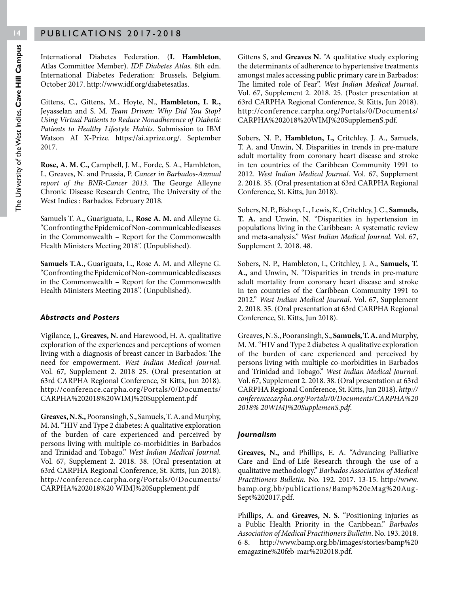International Diabetes Federation. (**I. Hambleton**, Atlas Committee Member). *IDF Diabetes Atlas*. 8th edn. International Diabetes Federation: Brussels, Belgium. October 2017. http://www.idf.org/diabetesatlas.

Gittens, C., Gittens, M., Hoyte, N., **Hambleton, I. R.,** Jeyasselan and S. M. *Team Driven: Why Did You Stop? Using Virtual Patients to Reduce Nonadherence of Diabetic Patients to Healthy Lifestyle Habits*. Submission to IBM Watson AI X-Prize. https://ai.xprize.org/. September 2017.

**Rose, A. M. C.,** Campbell, J. M., Forde, S. A., Hambleton, I., Greaves, N. and Prussia, P. *Cancer in Barbados-Annual report of the BNR-Cancer 2013*. The George Alleyne Chronic Disease Research Centre, The University of the West Indies : Barbados. February 2018.

Samuels T. A., Guariguata, L., **Rose A. M.** and Alleyne G. "Confronting the Epidemic of Non-communicable diseases in the Commonwealth – Report for the Commonwealth Health Ministers Meeting 2018". (Unpublished).

**Samuels T.A.**, Guariguata, L., Rose A. M. and Alleyne G. "Confronting the Epidemic of Non-communicable diseases in the Commonwealth – Report for the Commonwealth Health Ministers Meeting 2018". (Unpublished).

# *Abstracts and Posters*

Vigilance, J., **Greaves, N.** and Harewood, H. A. qualitative exploration of the experiences and perceptions of women living with a diagnosis of breast cancer in Barbados: The need for empowerment. *West Indian Medical Journal*. Vol. 67, Supplement 2. 2018 25. (Oral presentation at 63rd CARPHA Regional Conference, St Kitts, Jun 2018). http://conference.carpha.org/Portals/0/Documents/ CARPHA%202018%20WIMJ%20Supplement.pdf

**Greaves, N. S.,** Pooransingh, S., Samuels, T. A. and Murphy, M. M. "HIV and Type 2 diabetes: A qualitative exploration of the burden of care experienced and perceived by persons living with multiple co-morbidities in Barbados and Trinidad and Tobago." *West Indian Medical Journal.* Vol. 67, Supplement 2. 2018. 38. (Oral presentation at 63rd CARPHA Regional Conference, St. Kitts, Jun 2018). http://conference.carpha.org/Portals/0/Documents/ CARPHA%202018%20 WIMJ%20Supplement.pdf

Gittens S, and **Greaves N.** "A qualitative study exploring the determinants of adherence to hypertensive treatments amongst males accessing public primary care in Barbados: The limited role of Fear". *West Indian Medical Journal*. Vol. 67, Supplement 2. 2018. 25. (Poster presentation at 63rd CARPHA Regional Conference, St Kitts, Jun 2018). http://conference.carpha.org/Portals/0/Documents/ CARPHA%202018%20WIMJ%20SupplemenS.pdf.

Sobers, N. P., **Hambleton, I.,** Critchley, J. A., Samuels, T. A. and Unwin, N. Disparities in trends in pre-mature adult mortality from coronary heart disease and stroke in ten countries of the Caribbean Community 1991 to 2012. *West Indian Medical Journal*. Vol. 67, Supplement 2. 2018. 35. (Oral presentation at 63rd CARPHA Regional Conference, St. Kitts, Jun 2018).

Sobers, N. P., Bishop, L., Lewis, K., Critchley, J. C., **Samuels, T. A.** and Unwin, N. "Disparities in hypertension in populations living in the Caribbean: A systematic review and meta-analysis." *West Indian Medical Journal.* Vol. 67, Supplement 2. 2018. 48.

Sobers, N. P., Hambleton, I., Critchley, J. A., **Samuels, T. A.,** and Unwin, N. "Disparities in trends in pre-mature adult mortality from coronary heart disease and stroke in ten countries of the Caribbean Community 1991 to 2012." *West Indian Medical Journal*. Vol. 67, Supplement 2. 2018. 35. (Oral presentation at 63rd CARPHA Regional Conference, St. Kitts, Jun 2018).

Greaves, N. S., Pooransingh, S., **Samuels, T. A.** and Murphy, M. M. "HIV and Type 2 diabetes: A qualitative exploration of the burden of care experienced and perceived by persons living with multiple co-morbidities in Barbados and Trinidad and Tobago." *West Indian Medical Journal.* Vol. 67, Supplement 2. 2018. 38. (Oral presentation at 63rd CARPHA Regional Conference, St. Kitts, Jun 2018). *http:// conferencecarpha.org/Portals/0/Documents/CARPHA%20 2018% 20WIMJ%20SupplemenS.pdf*.

#### *Journalism*

**Greaves, N.,** and Phillips, E. A. "Advancing Palliative Care and End-of-Life Research through the use of a qualitative methodology." *Barbados Association of Medical Practitioners Bulletin*. No. 192. 2017. 13-15. http://www. bamp.org.bb/publications/Bamp%20eMag%20Aug-Sept%202017.pdf.

Phillips, A. and **Greaves, N. S.** "Positioning injuries as a Public Health Priority in the Caribbean." *Barbados Association of Medical Practitioners Bulletin*. No. 193. 2018. 6-8. http://www.bamp.org.bb/images/stories/bamp%20 emagazine%20feb-mar%202018.pdf.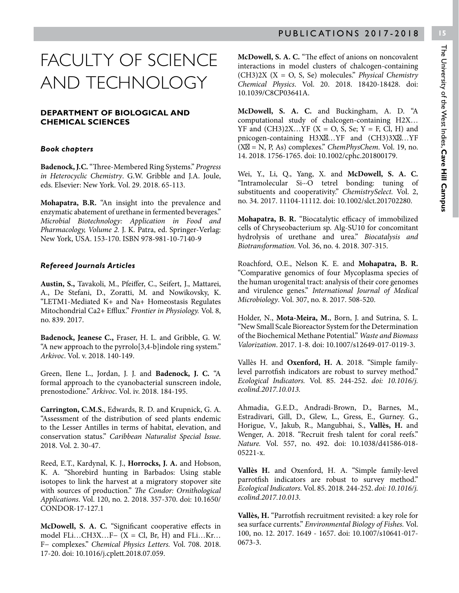# FACULTY OF SCIENCE AND TECHNOLOGY

# **DEPARTMENT OF BIOLOGICAL AND CHEMICAL SCIENCES**

# *Book chapters*

**Badenock, J.C.** "Three-Membered Ring Systems." *Progress in Heterocyclic Chemistry*. G.W. Gribble and J.A. Joule, eds. Elsevier: New York. Vol. 29. 2018. 65-113.

**Mohapatra, B.R.** "An insight into the prevalence and enzymatic abatement of urethane in fermented beverages." *Microbial Biotechnology: Application in Food and Pharmacology, Volume 2.* J. K. Patra, ed. Springer-Verlag: New York, USA. 153-170. ISBN 978-981-10-7140-9

# *Refereed Journals Articles*

**Austin, S.,** Tavakoli, M., Pfeiffer, C., Seifert, J., Mattarei, A., De Stefani, D., Zoratti, M. and Nowikovsky, K. "LETM1-Mediated K+ and Na+ Homeostasis Regulates Mitochondrial Ca2+ Efflux." *Frontier in Physiology.* Vol. 8, no. 839. 2017.

**Badenock, Jeanese C.,** Fraser, H. L. and Gribble, G. W. "A new approach to the pyrrolo[3,4-b]indole ring system." *Arkivoc*. Vol. v. 2018. 140-149.

Green, Ilene L., Jordan, J. J. and **Badenock, J. C.** "A formal approach to the cyanobacterial sunscreen indole, prenostodione." *Arkivoc*. Vol. iv. 2018. 184-195.

**Carrington, C.M.S.**, Edwards, R. D. and Krupnick, G. A. "Assessment of the distribution of seed plants endemic to the Lesser Antilles in terms of habitat, elevation, and conservation status." *Caribbean Naturalist Special Issue*. 2018. Vol. 2. 30-47.

Reed, E.T., Kardynal, K. J., **Horrocks, J. A.** and Hobson, K. A. "Shorebird hunting in Barbados: Using stable isotopes to link the harvest at a migratory stopover site with sources of production." *The Condor: Ornithological Applications*. Vol. 120, no. 2. 2018. 357-370. doi: 10.1650/ CONDOR-17-127.1

**McDowell, S. A. C.** "Significant cooperative effects in model FLi…CH3X…F–  $(X = Cl, Br, H)$  and FLi…Kr… F− complexes." *Chemical Physics Letters.* Vol. 708. 2018. 17-20. doi: 10.1016/j.cplett.2018.07.059.

**McDowell, S. A. C.** "The effect of anions on noncovalent interactions in model clusters of chalcogen-containing (CH3)2X (X = O, S, Se) molecules." *Physical Chemistry Chemical Physics*. Vol. 20. 2018. 18420-18428. doi: 10.1039/C8CP03641A.

**McDowell, S. A. C.** and Buckingham, A. D. "A computational study of chalcogen-containing H2X… YF and  $(CH3)2X...$  YF  $(X = 0, S, Se; Y = F, Cl, H)$  and pnicogen-containing H3X ...YF and (CH3)3X ...YF (X′ = N, P, As) complexes." *ChemPhysChem*. Vol. 19, no. 14. 2018. 1756-1765. doi: 10.1002/cphc.201800179.

Wei, Y., Li, Q., Yang, X. and **McDowell, S. A. C.** "Intramolecular Si···O tetrel bonding: tuning of substituents and cooperativity." *ChemistrySelect.* Vol. 2, no. 34. 2017. 11104-11112. doi: 10.1002/slct.201702280.

**Mohapatra, B. R.** "Biocatalytic efficacy of immobilized cells of Chryseobacterium sp. Alg-SU10 for concomitant hydrolysis of urethane and urea." *Biocatalysis and Biotransformation.* Vol. 36, no. 4. 2018. 307-315.

Roachford, O.E., Nelson K. E. and **Mohapatra, B. R.** "Comparative genomics of four Mycoplasma species of the human urogenital tract: analysis of their core genomes and virulence genes." *International Journal of Medical Microbiology*. Vol. 307, no. 8. 2017. 508-520.

Holder, N., **Mota-Meira, M.**, Born, J. and Sutrina, S. L. "New Small Scale Bioreactor System for the Determination of the Biochemical Methane Potential." *Waste and Biomass Valorization*. 2017. 1-8. doi: 10.1007/s12649-017-0119-3.

Vallès H. and **Oxenford, H. A**. 2018. "Simple familylevel parrotfish indicators are robust to survey method." *Ecological Indicators.* Vol. 85. 244-252. *doi: 10.1016/j. ecolind.2017.10.013.*

Ahmadia, G.E.D., Andradi-Brown, D., Barnes, M., Estradivari, Gill, D., Glew, L., Gress, E., Gurney. G., Horigue, V., Jakub, R., Mangubhai, S., **Vallès, H.** and Wenger, A. 2018. "Recruit fresh talent for coral reefs." *Nature.* Vol. 557, no. 492. doi: 10.1038/d41586-018- 05221-x.

**Vallès H.** and Oxenford, H. A. "Simple family-level parrotfish indicators are robust to survey method." *Ecological Indicators.* Vol. 85. 2018. 244-252. *doi: 10.1016/j. ecolind.2017.10.013*.

**Vallès, H.** "Parrotfish recruitment revisited: a key role for sea surface currents." *Environmental Biology of Fishes.* Vol. 100, no. 12. 2017. 1649 - 1657. doi: 10.1007/s10641-017- 0673-3.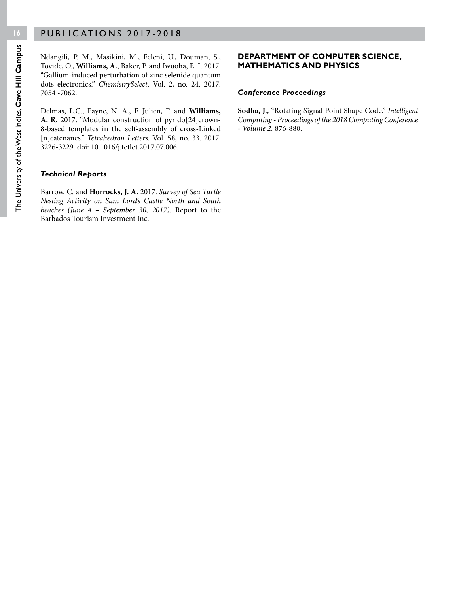Ndangili, P. M., Masikini, M., Feleni, U., Douman, S., Tovide, O., **Williams, A.**, Baker, P. and Iwuoha, E. I. 2017. "Gallium-induced perturbation of zinc selenide quantum dots electronics." *ChemistrySelect*. Vol. 2, no. 24. 2017. 7054 -7062.

Delmas, L.C., Payne, N. A., F. Julien, F. and **Williams,**  A. R. 2017. "Modular construction of pyrido<sup>[24]</sup>crown-8-based templates in the self-assembly of cross-Linked [n]catenanes." *Tetrahedron Letters.* Vol. 58, no. 33. 2017. 3226-3229. doi: 10.1016/j.tetlet.2017.07.006.

# *Technical Reports*

Barrow, C. and **Horrocks, J. A.** 2017. *Survey of Sea Turtle Nesting Activity on Sam Lord's Castle North and South beaches (June 4 – September 30, 2017)*. Report to the Barbados Tourism Investment Inc.

# **DEPARTMENT OF COMPUTER SCIENCE, MATHEMATICS AND PHYSICS**

#### *Conference Proceedings*

**Sodha, J**., "Rotating Signal Point Shape Code." *Intelligent Computing - Proceedings of the 2018 Computing Conference - Volume 2.* 876-880.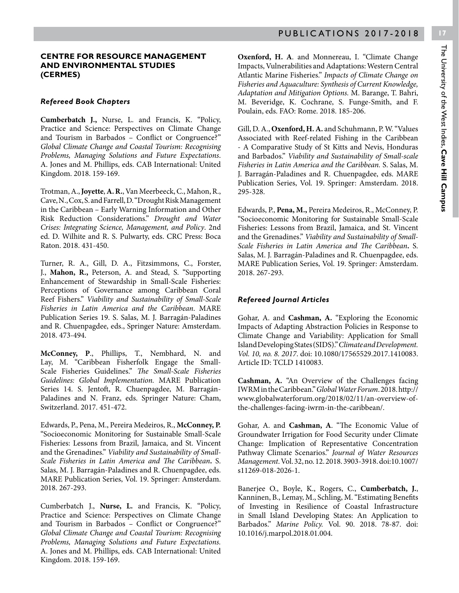# **CENTRE FOR RESOURCE MANAGEMENT AND ENVIRONMENTAL STUDIES (CERMES)**

# *Refereed Book Chapters*

**Cumberbatch J.,** Nurse, L. and Francis, K. "Policy, Practice and Science: Perspectives on Climate Change and Tourism in Barbados – Conflict or Congruence?" *Global Climate Change and Coastal Tourism: Recognising Problems, Managing Solutions and Future Expectations*. A. Jones and M. Phillips, eds. CAB International: United Kingdom. 2018. 159-169.

Trotman, A., **Joyette**, **A. R.**, Van Meerbeeck, C., Mahon, R., Cave, N., Cox, S. and Farrell, D. "Drought Risk Management in the Caribbean – Early Warning Information and Other Risk Reduction Considerations." *Drought and Water Crises: Integrating Science, Management, and Policy*. 2nd ed. D. Wilhite and R. S. Pulwarty, eds. CRC Press: Boca Raton. 2018. 431-450.

Turner, R. A., Gill, D. A., Fitzsimmons, C., Forster, J., **Mahon, R.,** Peterson, A. and Stead, S. "Supporting Enhancement of Stewardship in Small-Scale Fisheries: Perceptions of Governance among Caribbean Coral Reef Fishers." *Viability and Sustainability of Small-Scale Fisheries in Latin America and the Caribbean*. MARE Publication Series 19. S. Salas, M. J. Barragán-Paladines and R. Chuenpagdee, eds., Springer Nature: Amsterdam. 2018. 473-494.

**McConney, P**., Phillips, T., Nembhard, N. and Lay, M. "Caribbean Fisherfolk Engage the Small-Scale Fisheries Guidelines." *The Small-Scale Fisheries Guidelines: Global Implementation.* MARE Publication Series 14. S. Jentoft, R. Chuenpagdee, M. Barragán-Paladines and N. Franz, eds. Springer Nature: Cham, Switzerland. 2017. 451-472.

Edwards, P., Pena, M., Pereira Medeiros, R., **McConney, P.** "Socioeconomic Monitoring for Sustainable Small-Scale Fisheries: Lessons from Brazil, Jamaica, and St. Vincent and the Grenadines." *Viability and Sustainability of Small-Scale Fisheries in Latin America and The Caribbean***.** S. Salas, M. J. Barragán-Paladines and R. Chuenpagdee, eds. MARE Publication Series, Vol. 19. Springer: Amsterdam. 2018. 267-293.

Cumberbatch J., **Nurse, L.** and Francis, K. "Policy, Practice and Science: Perspectives on Climate Change and Tourism in Barbados – Conflict or Congruence?" *Global Climate Change and Coastal Tourism: Recognising Problems, Managing Solutions and Future Expectations.* A. Jones and M. Phillips, eds. CAB International: United Kingdom. 2018. 159-169.

**Oxenford, H. A**. and Monnereau, I. "Climate Change Impacts, Vulnerabilities and Adaptations: Western Central Atlantic Marine Fisheries." *Impacts of Climate Change on Fisheries and Aquaculture: Synthesis of Current Knowledge, Adaptation and Mitigation Options.* M. Barange, T. Bahri, M. Beveridge, K. Cochrane, S. Funge-Smith, and F. Poulain, eds. FAO: Rome. 2018. 185-206.

Gill, D. A., **Oxenford, H. A.** and Schuhmann, P. W. "Values Associated with Reef-related Fishing in the Caribbean - A Comparative Study of St Kitts and Nevis, Honduras and Barbados." *Viability and Sustainability of Small-scale Fisheries in Latin America and the Caribbean.* S. Salas, M. J. Barragán-Paladines and R. Chuenpagdee, eds. MARE Publication Series, Vol. 19. Springer: Amsterdam. 2018. 295-328.

Edwards, P., **Pena, M.,** Pereira Medeiros, R., McConney, P. "Socioeconomic Monitoring for Sustainable Small-Scale Fisheries: Lessons from Brazil, Jamaica, and St. Vincent and the Grenadines." *Viability and Sustainability of Small-Scale Fisheries in Latin America and The Caribbean***.** S. Salas, M. J. Barragán-Paladines and R. Chuenpagdee, eds. MARE Publication Series, Vol. 19. Springer: Amsterdam. 2018. 267-293.

# *Refereed Journal Articles*

Gohar, A. and **Cashman, A.** "Exploring the Economic Impacts of Adapting Abstraction Policies in Response to Climate Change and Variability: Application for Small Island Developing States (SIDS)." *Climate and Development. Vol. 10, no. 8. 2017*. doi: 10.1080/17565529.2017.1410083. Article ID: TCLD 1410083.

**Cashman, A.** "An Overview of the Challenges facing IWRM in the Caribbean." *Global Water Forum*. 2018. http:// www.globalwaterforum.org/2018/02/11/an-overview-ofthe-challenges-facing-iwrm-in-the-caribbean/.

Gohar, A. and **Cashman, A**. "The Economic Value of Groundwater Irrigation for Food Security under Climate Change: Implication of Representative Concentration Pathway Climate Scenarios." *Journal of Water Resources Management*. Vol. 32, no. 12. 2018. 3903-3918. doi:10.1007/ s11269-018-2026-1.

Banerjee O., Boyle, K., Rogers, C., **Cumberbatch, J.**, Kanninen, B., Lemay, M., Schling, M. "Estimating Benefits of Investing in Resilience of Coastal Infrastructure in Small Island Developing States: An Application to Barbados." *Marine Policy.* Vol. 90. 2018. 78-87. doi: 10.1016/j.marpol.2018.01.004.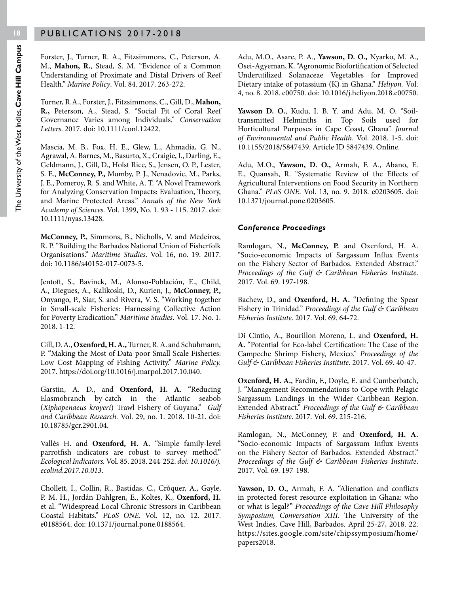Forster, J., Turner, R. A., Fitzsimmons, C., Peterson, A. M., **Mahon, R.**, Stead, S. M. "Evidence of a Common Understanding of Proximate and Distal Drivers of Reef Health." *Marine Policy*. Vol. 84. 2017. 263-272.

Turner, R.A., Forster, J., Fitzsimmons, C., Gill, D., **Mahon, R.,** Peterson, A., Stead, S. "Social Fit of Coral Reef Governance Varies among Individuals." *Conservation Letters*. 2017. doi: 10.1111/conl.12422.

Mascia, M. B., Fox, H. E., Glew, L., Ahmadia, G. N., Agrawal, A. Barnes, M., Basurto, X., Craigie, I., Darling, E., Geldmann, J., Gill, D., Holst Rice, S., Jensen, O. P., Lester, S. E., **McConney, P.,** Mumby, P. J., Nenadovic, M., Parks, J. E., Pomeroy, R. S. and White, A. T. "A Novel Framework for Analyzing Conservation Impacts: Evaluation, Theory, and Marine Protected Areas." *Annals of the New York Academy of Sciences*. Vol. 1399, No. 1. 93 - 115. 2017. doi: 10.1111/nyas.13428.

**McConney, P.**, Simmons, B., Nicholls, V. and Medeiros, R. P. "Building the Barbados National Union of Fisherfolk Organisations." *Maritime Studies*. Vol. 16, no. 19. 2017. doi: 10.1186/s40152-017-0073-5.

Jentoft, S., Bavinck, M., Alonso-Población, E., Child, A., Diegues, A., Kalikoski, D., Kurien, J., **McConney, P.,** Onyango, P., Siar, S. and Rivera, V. S. "Working together in Small-scale Fisheries: Harnessing Collective Action for Poverty Eradication." *Maritime Studies*. Vol. 17. No. 1. 2018. 1-12.

Gill, D. A., **Oxenford, H. A.,** Turner, R. A. and Schuhmann, P. "Making the Most of Data-poor Small Scale Fisheries: Low Cost Mapping of Fishing Activity." *Marine Policy.* 2017. https://doi.org/10.1016/j.marpol.2017.10.040.

Garstin, A. D., and **Oxenford, H. A**. "Reducing Elasmobranch by-catch in the Atlantic seabob (*Xiphopenaeus kroyeri*) Trawl Fishery of Guyana." *Gulf and Caribbean Research.* Vol. 29, no. 1. 2018. 10-21. doi: 10.18785/gcr.2901.04.

Vallès H. and **Oxenford, H. A.** "Simple family-level parrotfish indicators are robust to survey method." *Ecological Indicators.* Vol. 85. 2018. 244-252. *doi: 10.1016/j. ecolind.2017.10.013*.

Chollett, I., Collin, R., Bastidas, C., Cróquer, A., Gayle, P. M. H., Jordán-Dahlgren, E., Koltes, K., **Oxenford, H.** et al. "Widespread Local Chronic Stressors in Caribbean Coastal Habitats." *PLoS ONE*. Vol. 12, no. 12. 2017. e0188564. doi: 10.1371/journal.pone.0188564.

Adu, M.O., Asare, P. A., **Yawson, D. O.,** Nyarko, M. A., Osei-Agyeman, K. "Agronomic Biofortification of Selected Underutilized Solanaceae Vegetables for Improved Dietary intake of potassium (K) in Ghana." *Heliyon.* Vol. 4, no. 8. 2018. e00750. doi: 10.1016/j.heliyon.2018.e00750.

**Yawson D. O.**, Kudu, I. B. Y. and Adu, M. O. "Soiltransmitted Helminths in Top Soils used for Horticultural Purposes in Cape Coast, Ghana". *Journal of Environmental and Public Health*. Vol. 2018. 1-5. doi: 10.1155/2018/5847439. Article ID 5847439. Online.

Adu, M.O., **Yawson, D. O.,** Armah, F. A., Abano, E. E., Quansah, R. "Systematic Review of the Effects of Agricultural Interventions on Food Security in Northern Ghana." *PLoS ONE*. Vol. 13, no. 9. 2018. e0203605. doi: 10.1371/journal.pone.0203605.

# *Conference Proceedings*

Ramlogan, N., **McConney, P.** and Oxenford, H. A. "Socio-economic Impacts of Sargassum Influx Events on the Fishery Sector of Barbados. Extended Abstract." *Proceedings of the Gulf & Caribbean Fisheries Institute*. 2017. Vol. 69. 197-198.

Bachew, D., and **Oxenford, H. A.** "Defining the Spear Fishery in Trinidad." *Proceedings of the Gulf & Caribbean Fisheries Institute*. 2017. Vol. 69. 64-72.

Di Cintio, A., Bourillon Moreno, L. and **Oxenford, H. A.** "Potential for Eco-label Certification: The Case of the Campeche Shrimp Fishery, Mexico." *Proceedings of the Gulf & Caribbean Fisheries Institute*. 2017. Vol. 69. 40-47.

**Oxenford, H. A.**, Fardin, F., Doyle, E. and Cumberbatch, J. "Management Recommendations to Cope with Pelagic Sargassum Landings in the Wider Caribbean Region. Extended Abstract." *Proceedings of the Gulf & Caribbean Fisheries Institute*. 2017. Vol. 69. 215-216.

Ramlogan, N., McConney, P. and **Oxenford, H. A.** "Socio-economic Impacts of Sargassum Influx Events on the Fishery Sector of Barbados. Extended Abstract." *Proceedings of the Gulf & Caribbean Fisheries Institute*. 2017. Vol. 69. 197-198.

**Yawson, D. O.**, Armah, F. A. "Alienation and conflicts in protected forest resource exploitation in Ghana: who or what is legal?" *Proceedings of the Cave Hill Philosophy Symposium, Conversation XIII*. The University of the West Indies, Cave Hill, Barbados. April 25-27, 2018. 22. https://sites.google.com/site/chipssymposium/home/ papers2018.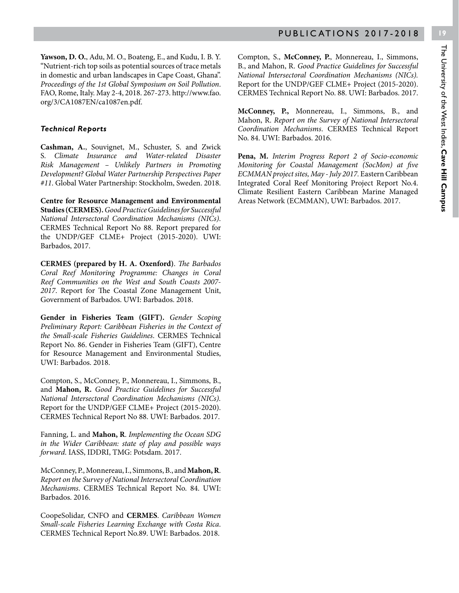**Yawson, D. O.**, Adu, M. O., Boateng, E., and Kudu, I. B. Y. "Nutrient-rich top soils as potential sources of trace metals in domestic and urban landscapes in Cape Coast, Ghana". *Proceedings of the 1st Global Symposium on Soil Pollution*. FAO, Rome, Italy. May 2-4, 2018. 267-273. http://www.fao. org/3/CA1087EN/ca1087en.pdf.

# *Technical Reports*

**Cashman, A.**, Souvignet, M., Schuster, S. and Zwick S. *Climate Insurance and Water-related Disaster Risk Management – Unlikely Partners in Promoting Development? Global Water Partnership Perspectives Paper #11*. Global Water Partnership: Stockholm, Sweden. 2018.

**Centre for Resource Management and Environmental Studies (CERMES).***Good Practice Guidelines for Successful National Intersectoral Coordination Mechanisms (NICs)*. CERMES Technical Report No 88. Report prepared for the UNDP/GEF CLME+ Project (2015-2020). UWI: Barbados, 2017.

**CERMES (prepared by H. A. Oxenford)**. *The Barbados Coral Reef Monitoring Programme: Changes in Coral Reef Communities on the West and South Coasts 2007- 2017*. Report for The Coastal Zone Management Unit, Government of Barbados. UWI: Barbados. 2018.

**Gender in Fisheries Team (GIFT).** *Gender Scoping Preliminary Report: Caribbean Fisheries in the Context of the Small-scale Fisheries Guidelines*. CERMES Technical Report No. 86. Gender in Fisheries Team (GIFT), Centre for Resource Management and Environmental Studies, UWI: Barbados. 2018.

Compton, S., McConney, P., Monnereau, I., Simmons, B., and **Mahon, R.** *Good Practice Guidelines for Successful National Intersectoral Coordination Mechanisms (NICs).* Report for the UNDP/GEF CLME+ Project (2015-2020). CERMES Technical Report No 88. UWI: Barbados. 2017.

Fanning, L. and **Mahon, R**. *Implementing the Ocean SDG in the Wider Caribbean: state of play and possible ways forward*. IASS, IDDRI, TMG: Potsdam. 2017.

McConney, P., Monnereau, I., Simmons, B., and **Mahon, R**. *Report on the Survey of National Intersectoral Coordination Mechanisms*. CERMES Technical Report No. 84. UWI: Barbados. 2016.

CoopeSolidar, CNFO and **CERMES**. *Caribbean Women Small-scale Fisheries Learning Exchange with Costa Rica*. CERMES Technical Report No.89. UWI: Barbados. 2018.

Compton, S., **McConney, P.**, Monnereau, I., Simmons, B., and Mahon, R. *Good Practice Guidelines for Successful National Intersectoral Coordination Mechanisms (NICs).* Report for the UNDP/GEF CLME+ Project (2015-2020). CERMES Technical Report No. 88. UWI: Barbados. 2017.

**McConney, P.,** Monnereau, I., Simmons, B., and Mahon, R. *Report on the Survey of National Intersectoral Coordination Mechanisms*. CERMES Technical Report No. 84. UWI: Barbados. 2016.

**Pena, M.** *Interim Progress Report 2 of Socio-economic Monitoring for Coastal Management (SocMon) at five ECMMAN project sites, May - July 2017.* Eastern Caribbean Integrated Coral Reef Monitoring Project Report No.4. Climate Resilient Eastern Caribbean Marine Managed Areas Network (ECMMAN), UWI: Barbados. 2017.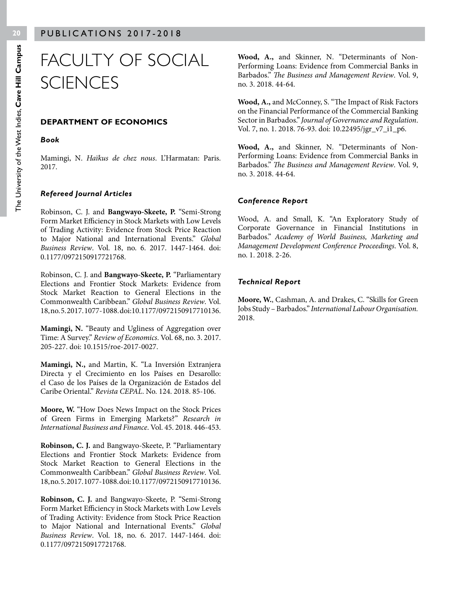# **DEPARTMENT OF ECONOMICS**

#### *Book*

Mamingi, N. *Haïkus de chez nous*. L'Harmatan: Paris. 2017.

# *Refereed Journal Articles*

Robinson, C. J. and **Bangwayo-Skeete, P.** "Semi-Strong Form Market Efficiency in Stock Markets with Low Levels of Trading Activity: Evidence from Stock Price Reaction to Major National and International Events." *Global Business Review*. Vol. 18, no. 6. 2017. 1447-1464. doi: 0.1177/0972150917721768.

Robinson, C. J. and **Bangwayo-Skeete, P.** "Parliamentary Elections and Frontier Stock Markets: Evidence from Stock Market Reaction to General Elections in the Commonwealth Caribbean." *Global Business Review*. Vol. 18, no. 5. 2017. 1077-1088. doi:10.1177/0972150917710136.

**Mamingi, N.** "Beauty and Ugliness of Aggregation over Time: A Survey." *Review of Economics*. Vol. 68, no. 3. 2017. 205-227. doi: 10.1515/roe-2017-0027.

**Mamingi, N.,** and Martin, K. "La Inversión Extranjera Directa y el Crecimiento en los Países en Desarollo: el Caso de los Países de la Organización de Estados del Caribe Oriental." *Revista CEPAL*. No. 124. 2018. 85-106.

**Moore, W.** "How Does News Impact on the Stock Prices of Green Firms in Emerging Markets?" *Research in International Business and Finance*. Vol. 45. 2018. 446-453.

**Robinson, C. J.** and Bangwayo-Skeete, P. "Parliamentary Elections and Frontier Stock Markets: Evidence from Stock Market Reaction to General Elections in the Commonwealth Caribbean." *Global Business Review*. Vol. 18, no. 5. 2017. 1077-1088. doi: 10.1177/0972150917710136.

**Robinson, C. J.** and Bangwayo-Skeete, P. "Semi-Strong Form Market Efficiency in Stock Markets with Low Levels of Trading Activity: Evidence from Stock Price Reaction to Major National and International Events." *Global Business Review*. Vol. 18, no. 6. 2017. 1447-1464. doi: 0.1177/0972150917721768.

**Wood, A.,** and Skinner, N. "Determinants of Non-Performing Loans: Evidence from Commercial Banks in Barbados." *The Business and Management Review*. Vol. 9, no. 3. 2018. 44-64.

**Wood, A.,** and McConney, S. "The Impact of Risk Factors on the Financial Performance of the Commercial Banking Sector in Barbados." *Journal of Governance and Regulation*. Vol. 7, no. 1. 2018. 76-93. doi: 10.22495/jgr\_v7\_i1\_p6.

**Wood, A.,** and Skinner, N. "Determinants of Non-Performing Loans: Evidence from Commercial Banks in Barbados." *The Business and Management Review*. Vol. 9, no. 3. 2018. 44-64.

# *Conference Report*

Wood, A. and Small, K. "An Exploratory Study of Corporate Governance in Financial Institutions in Barbados." *Academy of World Business, Marketing and Management Development Conference Proceedings*. Vol. 8, no. 1. 2018. 2-26.

# *Technical Report*

**Moore, W.**, Cashman, A. and Drakes, C. "Skills for Green Jobs Study – Barbados." *International Labour Organisation.* 2018.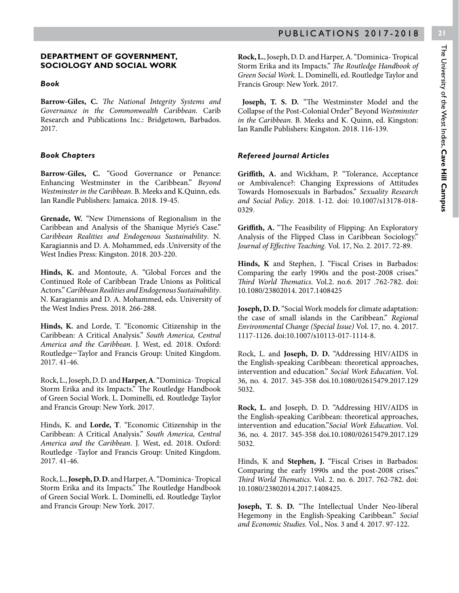# **DEPARTMENT OF GOVERNMENT, SOCIOLOGY AND SOCIAL WORK**

# *Book*

**Barrow-Giles, C.** *The National Integrity Systems and Governance in the Commonwealth Caribbean.* Carib Research and Publications Inc.: Bridgetown, Barbados. 2017.

# *Book Chapters*

**Barrow-Giles, C.** "Good Governance or Penance: Enhancing Westminster in the Caribbean." *Beyond Westminster in the Caribbean*. B. Meeks and K.Quinn, eds. Ian Randle Publishers: Jamaica. 2018. 19-45.

**Grenade, W.** "New Dimensions of Regionalism in the Caribbean and Analysis of the Shanique Myrie's Case." *Caribbean Realities and Endogenous Sustainability*. N. Karagiannis and D. A. Mohammed, eds .University of the West Indies Press: Kingston. 2018. 203-220.

**Hinds, K.** and Montoute, A. "Global Forces and the Continued Role of Caribbean Trade Unions as Political Actors." *Caribbean Realities and Endogenous Sustainability*. N. Karagiannis and D. A. Mohammed, eds. University of the West Indies Press. 2018. 266-288.

**Hinds, K.** and Lorde, T. "Economic Citizenship in the Caribbean: A Critical Analysis." *South America, Central America and the Caribbean*. J. West, ed. 2018. Oxford: Routledge ̶ Taylor and Francis Group: United Kingdom. 2017. 41-46.

Rock, L., Joseph, D. D. and **Harper, A**. "Dominica- Tropical Storm Erika and its Impacts." The Routledge Handbook of Green Social Work. L. Dominelli, ed. Routledge Taylor and Francis Group: New York. 2017.

Hinds, K. and **Lorde, T**. "Economic Citizenship in the Caribbean: A Critical Analysis." *South America, Central America and the Caribbean*. J. West, ed. 2018. Oxford: Routledge -Taylor and Francis Group: United Kingdom. 2017. 41-46.

Rock, L., **Joseph, D. D.** and Harper, A. "Dominica- Tropical Storm Erika and its Impacts." The Routledge Handbook of Green Social Work. L. Dominelli, ed. Routledge Taylor and Francis Group: New York. 2017.

**Rock, L.**, Joseph, D. D. and Harper, A. "Dominica- Tropical Storm Erika and its Impacts." *The Routledge Handbook of Green Social Work.* L. Dominelli, ed. Routledge Taylor and Francis Group: New York. 2017.

**Joseph, T. S. D.** "The Westminster Model and the Collapse of the Post-Colonial Order" Beyond *Westminster in the Caribbean.* B. Meeks and K. Quinn, ed. Kingston: Ian Randle Publishers: Kingston. 2018. 116-139.

# *Refereed Journal Articles*

**Griffith, A.** and Wickham, P. "Tolerance, Acceptance or Ambivalence?: Changing Expressions of Attitudes Towards Homosexuals in Barbados." *Sexuality Research and Social Policy*. 2018. 1-12. doi: 10.1007/s13178-018- 0329.

**Griffith, A.** "The Feasibility of Flipping: An Exploratory Analysis of the Flipped Class in Caribbean Sociology." *Journal of Effective Teaching.* Vol. 17, No. 2. 2017. 72-89.

**Hinds, K** and Stephen, J. "Fiscal Crises in Barbados: Comparing the early 1990s and the post-2008 crises." *Third World Thematics*. Vol.2. no.6. 2017 .762-782. doi: 10.1080/23802014. 2017.1408425

**Joseph, D. D.** "Social Work models for climate adaptation: the case of small islands in the Caribbean." *Regional Environmental Change (Special Issue)* Vol. 17, no. 4. 2017. 1117-1126. doi:10.1007/s10113-017-1114-8.

Rock, L. and **Joseph, D. D.** "Addressing HIV/AIDS in the English-speaking Caribbean: theoretical approaches, intervention and education." *Social Work Education*. Vol. 36, no. 4. 2017. 345-358 doi.10.1080/02615479.2017.129 5032.

**Rock, L.** and Joseph, D. D. "Addressing HIV/AIDS in the English-speaking Caribbean: theoretical approaches, intervention and education."*Social Work Education*. Vol. 36, no. 4. 2017. 345-358 doi.10.1080/02615479.2017.129 5032.

Hinds, K and **Stephen, J.** "Fiscal Crises in Barbados: Comparing the early 1990s and the post-2008 crises." *Third World Thematics*. Vol. 2. no. 6. 2017. 762-782. doi: 10.1080/23802014.2017.1408425.

**Joseph, T. S. D.** "The Intellectual Under Neo-liberal Hegemony in the English-Speaking Caribbean." *Social and Economic Studies*. Vol., Nos. 3 and 4. 2017. 97-122.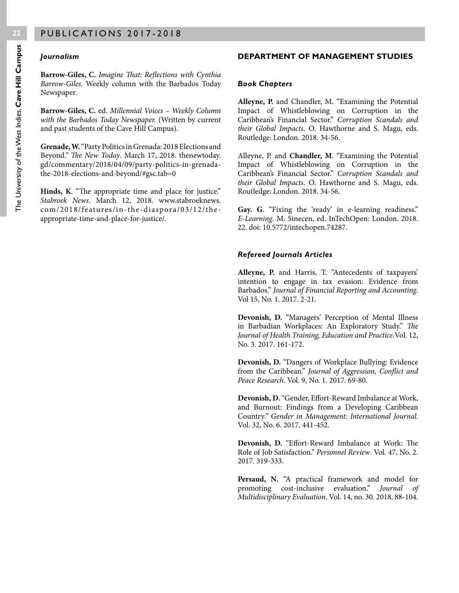### *Journalism*

**Barrow-Giles, C.** *Imagine That: Reflections with Cynthia Barrow-Giles*. Weekly column with the Barbados Today Newspaper.

**Barrow-Giles, C.** ed. *Millennial Voices – Weekly Column with the Barbados Today Newspaper.* (Written by current and past students of the Cave Hill Campus).

**Grenade, W.** "Party Politics in Grenada: 2018 Elections and Beyond*." The New Today*. March 17, 2018. thenewtoday. gd/commentary/2018/04/09/party-politics-in-grenadathe-2018-elections-and-beyond/#gsc.tab=0

**Hinds, K**. "The appropriate time and place for justice." *Stabroek News*. March 12, 2018. www.stabroeknews. com/2018/features/in-the-diaspora/03/12/theappropriate-time-and-place-for-justice/.

#### **DEPARTMENT OF MANAGEMENT STUDIES**

#### *Book Chapters*

**Alleyne, P.** and Chandler, M. "Examining the Potential Impact of Whistleblowing on Corruption in the Caribbean's Financial Sector." *Corruption Scandals and their Global Impacts*. O. Hawthorne and S. Magu, eds. Routledge: London. 2018. 34-56.

Alleyne, P. and **Chandler, M**. "Examining the Potential Impact of Whistleblowing on Corruption in the Caribbean's Financial Sector." *Corruption Scandals and their Global Impacts*. O. Hawthorne and S. Magu, eds. Routledge: London. 2018. 34-56.

Gay. G. "Fixing the 'ready' in e-learning readiness." *E-Learning*. M. Sinecen, ed. InTechOpen: London. 2018. 22. doi: 10.5772/intechopen.74287.

#### *Refereed Journals Articles*

**Alleyne, P.** and Harris, T. "Antecedents of taxpayers' intention to engage in tax evasion: Evidence from Barbados." *Journal of Financial Reporting and Accounting.* Vol 15, No. 1. 2017. 2-21.

**Devonish, D.** "Managers' Perception of Mental Illness in Barbadian Workplaces: An Exploratory Study." *The Journal of Health Training, Education and Practice.*Vol. 12, No. 3. 2017. 161-172.

**Devonish, D.** "Dangers of Workplace Bullying: Evidence from the Caribbean." *Journal of Aggression, Conflict and Peace Research*. Vol. 9, No. 1. 2017. 69-80.

**Devonish, D.** "Gender, Effort-Reward Imbalance at Work, and Burnout: Findings from a Developing Caribbean Country*." Gender in Management: International Journal*. Vol. 32, No. 6. 2017. 441-452.

**Devonish, D.** "Effort-Reward Imbalance at Work: The Role of Job Satisfaction." *Personnel Review*. Vol. 47, No. 2. 2017. 319-333.

**Persaud, N.** "A practical framework and model for promoting cost-inclusive evaluation." *Journal of Multidisciplinary Evaluation*. Vol. 14, no. 30. 2018. 88-104.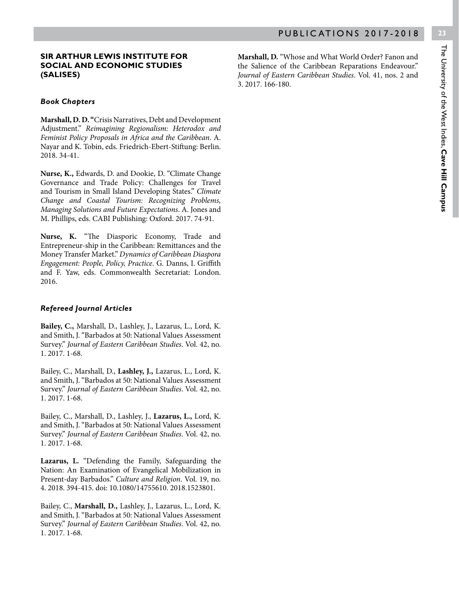# **SIR ARTHUR LEWIS INSTITUTE FOR SOCIAL AND ECONOMIC STUDIES (SALISES)**

# *Book Chapters*

**Marshall, D. D. "**Crisis Narratives, Debt and Development Adjustment." *Reimagining Regionalism: Heterodox and Feminist Policy Proposals in Africa and the Caribbean*. A. Nayar and K. Tobin, eds. Friedrich-Ebert-Stiftung: Berlin. 2018. 34-41.

**Nurse, K.,** Edwards, D. and Dookie, D. "Climate Change Governance and Trade Policy: Challenges for Travel and Tourism in Small Island Developing States." *Climate Change and Coastal Tourism: Recognizing Problems, Managing Solutions and Future Expectations*. A. Jones and M. Phillips, eds. CABI Publishing: Oxford. 2017. 74-91.

**Nurse, K.** "The Diasporic Economy, Trade and Entrepreneur-ship in the Caribbean: Remittances and the Money Transfer Market." *Dynamics of Caribbean Diaspora Engagement: People, Policy, Practice*. G*.* Danns, I. Griffith and F. Yaw, eds. Commonwealth Secretariat: London. 2016.

# *Refereed Journal Articles*

**Bailey, C.,** Marshall, D., Lashley, J., Lazarus, L., Lord, K. and Smith, J. "Barbados at 50: National Values Assessment Survey." *Journal of Eastern Caribbean Studies*. Vol. 42, no. 1. 2017. 1-68.

Bailey, C., Marshall, D., **Lashley, J.,** Lazarus, L., Lord, K. and Smith, J. "Barbados at 50: National Values Assessment Survey." *Journal of Eastern Caribbean Studies*. Vol. 42, no. 1. 2017. 1-68.

Bailey, C., Marshall, D., Lashley, J., **Lazarus, L.,** Lord, K. and Smith, J. "Barbados at 50: National Values Assessment Survey." *Journal of Eastern Caribbean Studies*. Vol. 42, no. 1. 2017. 1-68.

**Lazarus, L.** "Defending the Family, Safeguarding the Nation: An Examination of Evangelical Mobilization in Present-day Barbados." *Culture and Religion*. Vol. 19, no. 4. 2018. 394-415. doi: 10.1080/14755610. 2018.1523801.

Bailey, C., **Marshall, D.,** Lashley, J., Lazarus, L., Lord, K. and Smith, J. "Barbados at 50: National Values Assessment Survey." *Journal of Eastern Caribbean Studies*. Vol. 42, no. 1. 2017. 1-68.

**Marshall, D.** "Whose and What World Order? Fanon and the Salience of the Caribbean Reparations Endeavour." *Journal of Eastern Caribbean Studies*. Vol. 41, nos. 2 and 3. 2017. 166-180.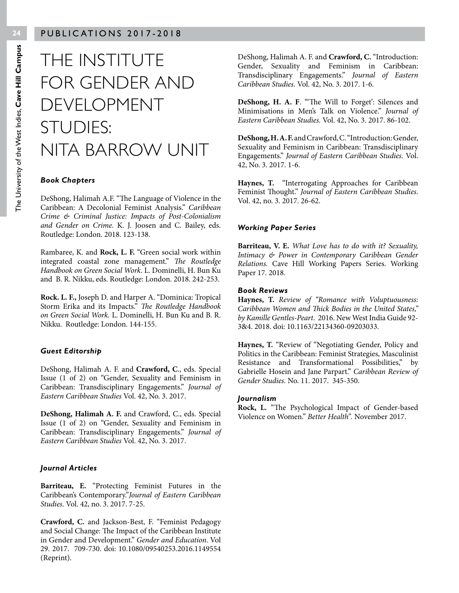# THE INSTITUTE FOR GENDER AND DEVELOPMENT STUDIES: NITA BARROW UNIT

# *Book Chapters*

DeShong, Halimah A.F. "The Language of Violence in the Caribbean: A Decolonial Feminist Analysis." *Caribbean Crime & Criminal Justice: Impacts of Post-Colonialism and Gender on Crime.* K. J. Joosen and C. Bailey, eds. Routledge: London. 2018. 123-138.

Rambaree, K. and **Rock, L. F.** "Green social work within integrated coastal zone management." *The Routledge Handbook on Green Social Work*. L. Dominelli, H. Bun Ku and B. R. Nikku, eds. Routledge: London. 2018. 242-253.

**Rock. L. F.,** Joseph D. and Harper A. "Dominica: Tropical Storm Erika and its Impacts." *The Routledge Handbook on Green Social Work.* L. Dominelli, H. Bun Ku and B. R. Nikku. Routledge: London. 144-155.

# *Guest Editorship*

DeShong, Halimah A. F. and **Crawford, C**., eds. Special Issue (1 of 2) on "Gender, Sexuality and Feminism in Caribbean: Transdisciplinary Engagements." *Journal of Eastern Caribbean Studies* Vol. 42, No. 3. 2017.

**DeShong, Halimah A. F.** and Crawford, C., eds. Special Issue (1 of 2) on "Gender, Sexuality and Feminism in Caribbean: Transdisciplinary Engagements." *Journal of Eastern Caribbean Studies* Vol. 42, No. 3. 2017.

# *Journal Articles*

**Barriteau, E.** "Protecting Feminist Futures in the Caribbean's Contemporary."*Journal of Eastern Caribbean Studies*. Vol. 42, no. 3. 2017. 7-25.

**Crawford, C.** and Jackson-Best, F. "Feminist Pedagogy and Social Change: The Impact of the Caribbean Institute in Gender and Development." *Gender and Education*. Vol 29. 2017. 709-730. doi: 10.1080/09540253.2016.1149554 (Reprint).

DeShong, Halimah A. F. and **Crawford, C.** "Introduction: Gender, Sexuality and Feminism in Caribbean: Transdisciplinary Engagements." *Journal of Eastern Caribbean Studies.* Vol. 42, No. 3. 2017. 1-6.

**DeShong, H. A. F**. "'The Will to Forget': Silences and Minimisations in Men's Talk on Violence." *Journal of Eastern Caribbean Studies.* Vol. 42, No. 3. 2017. 86-102.

**DeShong, H. A. F.** and Crawford, C. "Introduction: Gender, Sexuality and Feminism in Caribbean: Transdisciplinary Engagements." *Journal of Eastern Caribbean Studies.* Vol. 42, No. 3. 2017. 1-6.

Haynes, T. "Interrogating Approaches for Caribbean Feminist Thought." *Journal of Eastern Caribbean Studies*. Vol. 42, no. 3. 2017. 26-62.

# *Working Paper Series*

**Barriteau, V. E.** *What Love has to do with it? Sexuality, Intimacy & Power in Contemporary Caribbean Gender Relations.* Cave Hill Working Papers Series. Working Paper 17. 2018.

# *Book Reviews*

**Haynes, T.** *Review of "Romance with Voluptuousness: Caribbean Women and Thick Bodies in the United States," by Kamille Gentles-Peart*. 2016. New West India Guide 92- 3&4. 2018. doi: 10.1163/22134360-09203033.

**Haynes, T.** "Review of "Negotiating Gender, Policy and Politics in the Caribbean: Feminist Strategies, Masculinist Resistance and Transformational Possibilities," by Gabrielle Hosein and Jane Parpart." *Caribbean Review of Gender Studies.* No. 11. 2017. 345-350.

# *Journalism*

**Rock, L.** "The Psychological Impact of Gender-based Violence on Women." *Better Health".* November 2017.